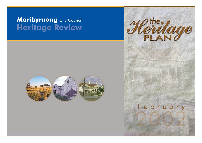# Maribyrnong City Council Heritage Review





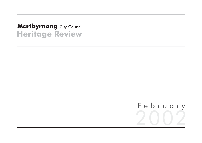# **Heritage Review Maribyrnong City Council**

# February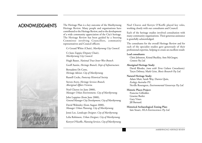# ACKNOWLEDGMENTS



The Heritage Plan is a key outcome of the Maribyrnong Heritage Review. Many people and organisations have contributed to the Heritage Review, and to the development of a wide community appreciation of the City's heritage. The Heritage Review has been guided by a Steering Committee involving Councillors, community representatives and Council officers:

Cr Gerard White (Chair), *Maribyrnong City Council.*

Cr June Zappia (Deputy Chair), *Maribyrnong City Council.*

Hugh Basset, *National Trust Inner West Branch.*

Geoff Austin, *Heritage Branch, Dept of Infrastructure.*

Bernadette De Corte, *Heritage Advisor, City of Maribyrnong.*

Russell Cocks, *Footscray Historical Society.*

Steven Avery, *Heritage Services Branch, Aboriginal Affairs Victoria.*

Noel Cleaves (to June 2000), *Manager Urban Environment, City of Maribyrnong.*

John Luppino (from June 2000), *General Manager City Development, City of Maribyrnong.*

David Walmsley (from August 2000), *Manager Urban Planning, City of Maribyrnong.* Jenni Lee, *Landscape Designer, City of Maribyrnong.* Lelia Robinson, *Urban Designer, City of Maribyrnong.* Kerryn O'Keeffe, *Planning Services, City of Maribyrnong.*

Noel Cleaves and Kerryn O'Keeffe played key roles, working closely with our consultants and Council.

Each of the heritage studies involved consultation with many community organisations. Their generous assistance is gratefully acknowledged.

The consultants for the overall Heritage Review and for each of the specialist studies gave generously of their professional expertise, helping to create an excellent result:

#### **Lead consultants:**

Chris Johnston, Kristal Buckley, Ann McGregor, *Context Pty Ltd.*

#### **Aboriginal Heritage Study:**

David Rhodes, *(now with Terra Culture Consultants).* Taryn Debney, Mark Grist, *Biosis Research Pty Ltd.*

**Natural Heritage Study:** Adam Muir, Sarah Way, Darren Quin,

*Ecology Australia P/L.* Neville Rosengren, *Environmental Geosurveys Pty Ltd.*

#### **Historic Places Project:**

Francine Gilfedder. Graeme Butler. Gary Vines. Jill Barnard.

i

**Historical Archaeological Zoning Plan:** Iain Stuart, *HLA-Envirosciences Pty Ltd.*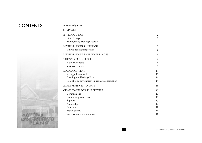# **CONTENTS**

| Acknowledgments                                   | 1              |
|---------------------------------------------------|----------------|
| <b>SUMMARY</b>                                    | 1              |
| <b>INTRODUCTION</b>                               | $\overline{c}$ |
| Our Heritage                                      | $\overline{c}$ |
| Maribyrnong Heritage Review                       | $\overline{c}$ |
| MARIBYRNONG'S HERITAGE                            | 3              |
| Why is heritage important?                        | 3              |
| MARIBYRNONG'S HERITAGE PLACES                     | 4              |
| THE WIDER CONTEXT                                 | 6              |
| National context                                  | 6              |
| Victorian context                                 | 9              |
| <b>LOCAL CONTEXT</b>                              | 13             |
| Strategic Framework                               | 13             |
| Creating the Heritage Plan                        | 14             |
| Role of local government in heritage conservation | 14             |
| <b>ACHIEVEMENTS TO DATE</b>                       | 16             |
| <b>CHALLENGES FOR THE FUTURE</b>                  | 17             |
| Commitment                                        | 17             |
| Community awareness                               | 17             |
| Support                                           | 17             |
| Knowledge                                         | 17             |
| Protection                                        | 18             |
| Model citizen                                     | 18             |
| Systems, skills and resources                     | 18             |

ii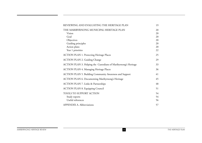iii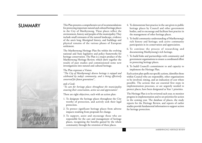

This Plan presents a comprehensive set of recommendations SUMMARY This Plan presents a comprehensive set of recommendations 4. To demonstrate best practice in the care given to public<br>for protecting important natural and cultural heritage places heritage places by Council and oth in the City of Maribyrnong. These places reflect the environment, history and peoples of the municipality. They include small remnants of the natural landscape, evidence of the area's long Aboriginal history, and buildings and physical remains of the various phases of European settlement.

> The Maribyrnong Heritage Plan fits within the evolving national and State legislative and policy frameworks for heritage conservation. The Plan is a major product of the Maribyrnong Heritage Review, which drew together the results of past studies and commissioned some new investigations into natural and cultural heritage.

#### The Plan expresses a Vision:

*"The City of Maribyrnong's diverse heritage is enjoyed and celebrated by today's community, and is being effectively conserved for future generations*",

#### and a Goal:

*"To care for heritage places throughout the municipality ensuring their conservation, active use and appreciation".*

There are eight objectives, each with an action plan:

- 1. To designate the heritage places throughout the City worthy of protection, and actively seek their legal protection.
- 2. To protect significant heritage places from adverse impacts resulting from proposals for change.
- 3. To support, assist and encourage those who are responsible for the care and management of heritage <sup>p</sup>laces, recognising the benefits gained by the whole community through the retention of these places.
- bodies, and to encourage and facilitate best practice in the management of other heritage places.
- 5. To build community understanding of Maribyrnong's rich history and heritage; seek active community participation in its conservation and appreciation.
- 6. To continue the process of researching and documenting Maribyrnong's rich heritage.
- 7. To build links and partnerships with community and government organisations to ensure a coordinated effort in protecting heritage places.
- 8. To build Council's commitment to and capacity to implement the Heritage Plan.

Each action plan spells out specific actions, identifies those within Council who are responsible, other organisations to be involved, timing, and an indication of cost where possible. The actions that are essential first steps in implementation processes, or are urgently needed to protect places, have been designated as Year 1 priorities.

The Heritage Plan is to be reviewed each year, to monitor progress in implementation and to set priorities for action in the coming year. The database of places, the study reports for the Heritage Review, and reports of earlier studies provide fundamental information to support action for heritage protection.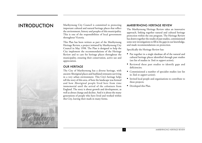# INTRODUCTION



Maribyrnong City Council is committed to protecting important cultural and natural heritage places that reflect the environment, history and peoples of this municipality. This is one of the responsibilities of local government throughout Victoria.

This Plan has been written as part of the Maribyrnong Heritage Review, a project initiated by Maribyrnong City Council in May 1998. The Plan is designed to help the City implement the recommendations of the Heritage Review and to care for heritage places throughout the municipality, ensuring their conservation, active use and appreciation.

#### OUR HERITAGE

The City of Maribyrnong has a diverse heritage, with ancient Aboriginal places and bushland remnants surviving in a very urban environment. This City's heritage helps tell the story of this area, of how the landscape was formed and how Aboriginal people lived here from time immemorial until the arrival of the colonisers from England. The story is about growth and development, as well as about change and decline. And it is about the many generations of people who have lived and worked within this City, leaving their mark in many forms.

#### MARIBYRNONG HERITAGE REVIEW

The Maribyrnong Heritage Review takes an innovative approach, linking together natural and cultural heritage protection within the one program. The Heritage Review has drawn together the results of past studies, commissioned some new investigations to fill in the gaps in our knowledge, and made recommendations on protection.

Specifically the Heritage Review has:

- Put together in a single database all of the natural and cultural heritage places identified through past studies (see list of studies in *Tools to support action*);
- Reviewed these past studies to identify gaps and deficiencies;
- Commissioned a number of specialist studies (see list in *Tools to support action*);
- Invited local people and organisations to contribute to these projects;
- Developed this Plan.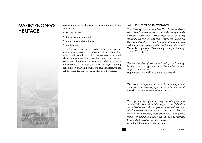# MARIBYRNONG'S **HERITAGE**

As a community, our heritage is made up of many things. It includes:

- the way we live;
- •the environment around us;
- our cultures and traditions;
- our history.

This Plan focuses on the places that express aspects of our environment, history, traditions and culture. These allow us to experience a little of what that past was like, through the natural features, sites, trees, buildings, structures and streetscapes that remain. As expressions of the past, places are more evocative than a picture. Through studying, reflecting on and valuing what we have inherited, we can set directions for the way we develop into the future.

#### WHY IS HERITAGE IMPORTANT?

*"Maribyrnong means to me where Nan [Margaret Tucker] done a lot of her work in the early days, the setting up of the Aboriginal Advancement League, singing in the choir, any monies she got from her and others' efforts, they would buy blankets and send them back to Cummeragunga and that makes me feel very proud of what my Grandmother done."* Maxine Barr, quoted in Maribyrnong Aboriginal Heritage Study 1999, page 92.

*"We are caretakers of our cultural heritage. It is through knowing and valuing our heritage that we know how to progress into the future."* Hugh Basset, National Trust Inner West Branch.

*"Heritage is an important connector. It allows people of all ages to have a sense of belonging to an area and a community."* Russell Cocks, Footscray Historical Society.

*"Heritage in the City of Maribyrnong is something to be very proud of. We have a rich and diverse past, as one of the oldest areas of Melbourne with some great buildings and parklands, which represent different periods in our past. These are something to be preserved, celebrated and used. I am pleased that as a community in which I grew up, we have enormous pride in the preservation of our heritage."* Gerard White, Mayor of Maribyrnong.

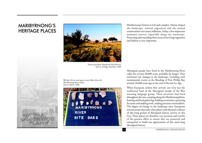# MARIBYRNONG'S HERITAGE PLACES





*Native grassland, Braybrook Rail Reserve. Source: Ecology Australia 1999.*

*Worked silcrete and quartz stone flakes from the Maribyrnong River valley. Source: Biosis 1999.*



Maribyrnong's history is rich and complex. Nature shaped the landscape, natural vegetation and the animal communities over many millennia. Today, a few important remnants survive, especially along our waterways. Protecting and extending these areas of surviving vegetation and habitat is very important.

Aboriginal people have lived in the Maribyrnong River valley for at least 40,000 years, probably far longer. They witnessed vast changes to the landscape, including such monumental events as the flooding of Port Phillip Bay around 10,000 years ago at the end of the last Ice Age.

When European settlers first arrived, our City was the traditional land of the Aboriginal people of the Woi wurrung language group. Their ancestors had lived throughout the area, camping along the Maribyrnong River, hunting and food gathering, holding ceremonies, quarrying for stone and making tools, trading precious commodities. The degree of change to the landscape since Europeans arrived means that only a few places with physical evidence of this long period of Aboriginal history survive in this City. These places are therefore very precious and worthy of the greatest effort to ensure they are protected and interpreted to build our appreciation of this area's long Aboriginal history.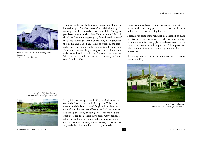

*Former Melbourne Meat Preserving Works, Footscray. Source: Heritage Victoria.*

European settlement had a massive impact on Aboriginal life and people. But Maribyrnong's Aboriginal history did not stop there. Recent studies have revealed that Aboriginal people starting moving back into Kulin territories (of which the City of Maribyrnong is a part) from the early years of the twentieth century, with many moving into our City in the 1920s and 30s. They came to work in the large industries - the munitions factories in Maribyrnong and Footscray, Kinnears Ropes, Angliss and Pridhams, the railways and at local schools. Aboriginal activism in Victoria, led by William Cooper a Footscray resident, started in the 1930s.

There are many layers to our history and our City is fortunate that so many places survive that can help us understand the past and bring it to life.

These are just some of the heritage places that help to make our City special and distinctive. The Maribyrnong Heritage Review has identified many places, and more await further research to document their importance. These places are valued and therefore warrant action by the Council to help protect them.

Identifying heritage places is an important and on-going task for the City.



*Newell Street, Footscray. Source: Australian Heritage Commission.*

*Site of the Ship Inn, Footscray. Source: Australian Heritage Commission.*



*MARIBYRNONG HERITAGE REVIEW* 5 *THE HERITAGE PLAN*

Today it is easy to forget that the City of Maribyrnong was one of the first areas settled by Europeans. Village reserves were set aside in Footscray and Braybrook in 1840, only 4 years after Melbourne was officially "settled". In Footscray, and along the river, buildings were constructed quite quickly. Since then, there have been many periods of rebuilding and new development, but throughout the City and especially in Footscray the archaeological evidence of very early dwellings and hotels is likely to survive.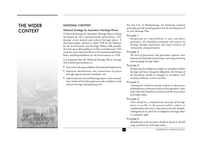# THE WIDER CONTEXT



#### NATIONAL CONTEXT

#### National Strategy for Australia's Heritage Places

A National Strategy for Australia's Heritage Places is being developed by the Commonwealth government. This strategy covers natural and cultural heritage places. A discussion paper, released in April 1999 by the Minister for the Environment and Heritage, Robert Hill provides the most up-to-date guidance on these new directions. This work has arisen from the Review of Commonwealth/State Roles and Responsibilities for the Environment in 1996.

It is proposed that the National Heritage Places Strategy will commit governments to:

- clear roles and responsibilities with minimal duplication;
- improved identification and conservation of places through agreed national standards, and
- improved protection of all heritage places at the national, State and local level through increased compliance with relevant heritage and planning laws.

For the City of Maribyrnong, the following national principles provide sound guidance for the development of its own Heritage Plan.

#### Principle 1.

*Recognising our responsibilities to past and future generations, the Australian community will conserve its heritage through cooperation and respect between all communities and governments.*

#### Principle 2.

*All levels of government and government agencies must demonstrate leadership in protecting, conserving, promoting and managing heritage values.*

#### Principle 3.

*Recognising that Indigenous people are custodians of their heritage and have consequent obligations, the heritage of all Australians should be managed in accordance with evolving traditions, customs and laws.*

#### Principle 4.

*Communities should be actively involved in all processes of identification, protection and use of heritage places, other than where this would be inconsistent with the conservation of heritage values.*

#### Principle 5.

*There should be a comprehensive inventory of heritage places accessible to the general public, subject to confidentiality where this is required to protect for example, endangered species, fossil sites or Indigenous heritage values or customary rights.*

#### Principle 6.

*Identification and assessment should be based on the full range and diversity of heritage values.*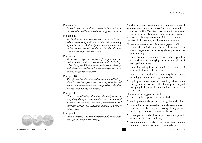#### Principle 7.

*Determination of significance should be based solely on heritage values and be separate from management decisions.*

#### Principle 8.

*The fundamental aim of conservation is to sustain heritage value with the least possible intervention. Where the use of a place involves a risk of significant irreversible damage to heritage values, lack of scientific certainty should not be used as a reason for allowing that use.*

#### Principle 9.

*The uses of heritage places should, as far as practicable, be limited to those which are compatible with the heritage values of the place. Where there is a conflict between heritage and other values, prudent and feasible management options must be sought and considered.*

#### Principle 10 .

*The effective identification and conservation of heritage places is dependent upon relevant research, education and presentation which respects the heritage values of the place and the sensitivities of communities.*

#### Principle 11.

*Conservation of heritage should be adequately resourced, recognising the rights, responsibilities and capabilities of governments, owners, custodians, communities and interested parties, and respecting cultural and gender requirements.*

#### Principle 12.

*Planning processes and decisions must include conservation management planning for heritage.*

Another important component is the development of standards and codes of practice. A draft set of standards contained in the Minister's discussion paper covers requirements for legislation and government systems across all aspects of heritage protection. Of direct relevance to the City of Maribyrnong are the requirements that:

Go vernment systems that affect heritage places will:

- be coordinated through the development of an overarching strategy to ensure legislative provisions are implemented;
- ensure that the full range and diversity of heritage values are considered in identifying and managing places of heritage significance;
- ensure that heritage issues are considered at least on equal terms with all other relevant issues;
- provide opportunities for community involvement, including setting up a heritage advisory body;
- require government departments and agencies to have a heritage strategy that covers identifying, protecting and managing the heritage places and values that they own or manage.

Go vernment listing processes will:

- ensure legislative provisions are fulfilled;
- involve professional expertise in heritage listing decisions;
- provide for owners, custodians and the community to be involved in key stages of heritage listing process (including the ability to nominate places);
- be transparent, timely, efficient and effective and provide a statement of reasons for listing;
- maintain appropriate databases which meet common minimum data and documentation standards.



*MARIBYRNONG HERITAGE REVIEW* 7 *THE HERITAGE PLAN*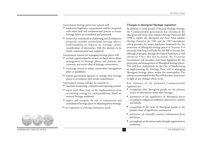Government heritage protection systems will:

- implement legislative requirements and be integrated with other land and environmental process to ensure heritage values are considered and protected;
- ensure that consideration of planning and development proposals includes professional heritage advice, understanding of impacts on heritage values, consideration of alternatives, with the decision to be clearly communicated and explained.

Government systems for managing heritage places will:

- provide opportunities for owners to obtain advice about management of heritage places and promote the economic and social value of heritage conservation;
- encourage owners to adopt conservation management <sup>p</sup>lans or guidelines;
- require government agencies to manage their heritage places in accordance with certain requirements.

Government systems will also be required to:

- •maintain monitoring, evaluation and reporting systems;
- report every three years on the implementation of an overarching strategy for each jurisdiction, based on national heritage standards;
- respect and recognise the role of communities and custodians of heritage places in educating about heritage;
- be responsive to evolving community needs.

#### Changes to Aboriginal Heritage Legislation

In addition to work toward a National Heritage Strategy, the Commonwealth government has introduced the *Aboriginal and Torres Strait Islander Heritage Protection Bill* 1998 to replace the *Aboriginal and Torres Strait Islander Heritage Protection Act* 1984 and the 1987 amendment which provides the major legislative framework for the protection of Aboriginal heritage places in Victoria. It is uncertain how long it will take for this Bill to become law, although its progress through the Federal Parliament is well advanced. Once this has occurred, the Victorian Government will introduce new State legislation for the protection and management of Aboriginal heritage places. This will have implications for the City of Maribyrnong in implementing the Heritage Plan, and in managing Aboriginal heritage places within the municipality. The actions recommended in this Plan will therefore need review in light of any changes which occur.

Key elements of the proposed Commonwealth legislation are:

- recognition that Aboriginal people are the primary source of information about their heritage;
- assessment of the significance of Aboriginal places according to indigenous traditions, observances, customs and beliefs;
- recognition of the views of Aboriginal people as the primary basis of significance assessments;
- protection of culturally sensitive information from disclosure;
- an emphasis on decisions made through negotiation or mediation.



*MARIBYRNONG HERITAGE REVIEW* 8 *THE HERITAGE PLAN*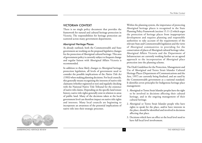#### VICTORIAN CONTEXT

There is no single policy document that provides the framework for natural and cultural heritage protection in Victoria. The responsibilities for heritage protection are scattered across many government departments.

#### Aboriginal Heritage Places

As already outlined, both the Commonwealth and State government are working on the proposed legislative changes for the protection of Aboriginal cultural heritage. This area of government policy is currently subject to frequent change and regular liaison with Aboriginal Affairs Victoria is recommended.

In addition to these likely changes to Aboriginal heritage protection legislation, all levels of government need to consider the possible implications of the *Native Title Act (1993)*when making planning decisions. For local councils, this generally means recognising the interests of native title claimants (whether registered or not) and regularly checking with the National Native Title Tribunal for the existence of native title claims. Depending on the specific land tenure history, native title rights generally exist in relation to areas of public land. Many of the decisions taken at the local government level can therefore impact on native title rights and interests. Many local councils are beginning to incorporate an awareness of the potential implications of native title into their strategic processes.

Within the planning system, the importance of protecting Aboriginal heritage places is recognised in the State Planning Policy Framework (section 15.11-2) which urges the protection of heritage places from inappropriate development and requires planning and responsible authorities to take account of the requirements of the relevant State and Commonwealth legislation and the views of Aboriginal communities in providing for the conservation of places of Aboriginal cultural heritage value. Aboriginal Affairs Victoria and the Department of Infrastructure are currently working further on an agreed approach to the incorporation of Aboriginal place protection into the planning scheme.

The Draft Guidelines for the Protection, Management and Use of Aboriginal and Torres Strait Islander Cultural Heritage Places (Department of Communications and the Arts, 1997) are currently being finalised, and are used by the Commonwealth government as a national standard. It identifies seven principles for Indigenous heritage place management:

- 1. Aboriginal or Torres Strait Islander peoples have the right to be involved in decisions affecting their cultural heritage, and in the ongoing management of their cultural heritage.
- 2. Aboriginal or Torres Strait Islander people who have rights to speak for the place, and/or have interests in the place, should be identified and involved in decisions affecting that place.
- 3. Decisions which have an effect at the local level need to have full local level involvement.



*MARIBYRNONG HERITAGE REVIEW* 9 *THE HERITAGE PLAN*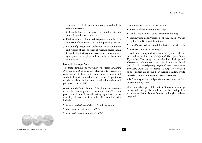- 4. The concerns of all relevant interest groups should be taken into account.
- 5. Cultural heritage place management must look after the cultural significance of a place.
- 6. Decisions about cultural heritage places should be made as a result of a conscious and logical planning process.
- 7. Records of places, records of decisions made about them and records of actions taken at heritage places should be made, kept, stored and accessed in a way which is appropriate to the place and meets the wishes of the community.

#### Natural Heritage Places

The State Planning Policy Framework (Victoria Planning Provisions 2000) requires planning to "assist the conservation of places that have natural, environmental, aesthetic, historic, cultural, scientific or social significance or other special value important for scientific and research purposes....." (15.11-1) .

Apart from the State Planning Policy Framework (created under the Planning and Environment Act 1987), the protection of sites of natural heritage significance is not explicitly addressed in State policy. Relevant legislation includes:

- *Crown Land (Reserves) Act 1978* and Regulations;
- *Environment Protection Act 1970*;
- *Flora and Fauna Guarantee Act 1988*.

Relevant policies and strategies include:

- Yarra Catchment Action Plan 1999;
- Land Conservation Council recommendations;
- State Environment Protection Policies, e.g. The Waters of the Yarra River and Tributaries;
- State Plan to deal with Wildlife affected by an Oil Spill;
- Victoria's Biodiversity Strategy.

In addition, strategic directions at a regional scale are provided in the draft *Port Phillip and Westernport Native Vegetation Plan*, prepared by the Port Phillip and Westernport Catchment and Land Protection Board (2000). *The Maribyrnong Regional Parklands Future Directions Plan*, aims to provide a range of recreation opportunities along the Maribyrnong valley, while protecting natural and cultural heritage features.

All of these regulations and policies are relevant to the City of Maribyrnong's work.

While it may be expected that a State Government strategy on natural heritage places will need to be developed in accordance with the National Strategy, nothing has yet been prepared.



*MARIBYRNONG HERITAGE REVIEW* 10 *THE HERITAGE PLAN*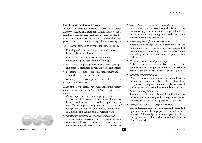#### New Strategy for Historic Places

In 2000, the State Government released the *Victorian Heritage Strategy*. This important document represents a significant step forward, and sets a framework for the protection of historic places. The largest number of heritage <sup>p</sup>laces in the City of Maribyrnong falls into this category.

The *Victorian Heritage Strategy* has four strategic goals.

- Knowing To increase knowledge of Victoria's heritage places and objects.
- Communicating—To enhance community understanding and appreciation of heritage.
- Protecting —To provide mechanisms for the strategic and practical protection of heritage places and objects.
- Managing—To support proactive management and sustainable use of heritage assets.

Ultimately, this Strategy will be linked to the Commonwealth's initiatives.

Many of the key issues that have helped shape this strategy are also important in the City of Maribyrnong. These include:

- *Protection for places of local heritage significance.* Though there have been advances in the use of municipal heritage overlays, some places of local significance are not afforded appropriate protection. This lack of recognition can result in confusion and conflict in the community, and the loss of local heritage places.
- *Compliance with heritage regulations and controls.* The current program is not always effective in achieving compliance of heritage controls. Heritage values are unnecessarily lost when contravention of controls occurs.
- *Support for private owners of heritage places.* Despite a variety of forms of financial assistance, many owners struggle to meet their heritage obligations, including managing their properties in ways that conserve their heritage significance.
- *The management of public heritage assets.* There have been significant improvements in the management of public heritage properties, but maintaining and prioritising resources for conservation and finding sustainable uses for public properties remain challenges.
- *Heritage values and development projects.* Failure to identify heritage issues prior to the commencement of major developments can result in delays for the developer and the loss of heritage values.
- *The scope of heritage listings.*

Despite significant improvements, there are still gaps in the range of heritage-listed places. These include places of significance to migrant communities, places associated with Victoria's more recent history and landscape areas.

• *Dissemination of information.*

The demand for accessible and quality heritage information is growing and heritage agencies are reviewing their services in response to this demand.

• *Strategic links between heritage and tourism.* State and regional economies are increasingly dependent upon tourism and heritage plays a vital role in this industry. Acknowledgment of the importance of the heritage-tourism relationship is required for the benefits of both industries.

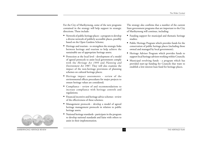For the City of Maribyrnong, some of the new programs contained in the strategy will help support its strategic directions. These include:

- Network of public heritage places a program to develop a diverse network of publicly accessible places, possibly based on the Open Gardens Scheme;
- Heritage and tourism to strengthen the strategic links between heritage and tourism to help achieve the sustainable use of appropriate heritage assets;
- Protection at the local level development of a model of agreed protocols to assist local government comply with the *Heritage Act 1995* and *Planning and Environment Act 1987*. They will also examine the impact of the non-heritage provisions of planning schemes on cultural heritage places;
- Heritage impact assessments review of the environmental effects procedures for major projects to ensure heritage values are considered;
- Compliance review of and recommendations to increase compliance with heritage controls and regulations;
- Financial incentive and heritage advice schemes review of the effectiveness of these schemes;
- Management protocols develop a model of agreed heritage management protocols in relation to public heritage assets;
- National heritage standards participate in the program to develop national standards and liaise with others to assist in their implementation.

The strategy also confirms that a number of the current State government programs that are important to the City of Maribyrnong will continue, including:

- Funding support for municipal and thematic heritage studies;
- Public Heritage Program which provides funds for the conservation of public heritage places (including those owned and managed by local government);
- Heritage Advisor Program which provides funds to support local heritage advisors working within Councils;
- Municipal revolving funds a program which has provided start-up funding for Councils that want to establish a low-interest loan fund for heritage places.

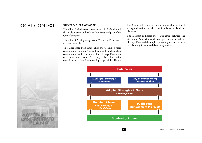#### STRATEGIC FRAMEWORK

The City of Maribyrnong was formed in 1994 through the amalgamation of the City of Footscray and parts of the City of Sunshine.

The City of Maribyrnong has a Corporate Plan that is updated annually.

The Corporate Plan establishes the Council's main commitments, and the Annual Plan establishes how these commitments will be achieved. The Heritage Plan is one of a number of Council's strategic plans that define objectives and actions for responding to specific local issues.

LOCAL CONTEXT STRATEGIC FRAMEWORK The Municipal Strategic Statement provides the broad strategic directions for the City in relation to land use <sup>p</sup>lanning.

> The diagram indicates the relationship between the Corporate Plan, Municipal Strategic Statement and the Heritage Plan, and the implementation processes through the Planning Scheme and day-to-day actions.



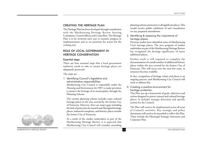#### CREATING THE HERITAGE PLAN

The Heritage Plan has been developed through consultation with the Maribyrnong Heritage Review Steering Committee, Council officers and Councillors. The Heritage Plan is to be reviewed each year to monitor progress in implementation and to set priorities for action for the coming year.

#### ROLE OF LOCAL GOVERNMENT IN HERITAGE CONSERVATION

#### Essential steps

There are four essential steps that a local government authority needs to take to ensure heritage places are adequately protected.

The steps are:

1. Identifying Council's legislative and administrative responsibilities.

Maribyrnong City Council is responsible under the *Planning and Environment Act* 1987 to make provision to protect the heritage of its municipality through the Planning Scheme.

The current planning scheme includes some cultural heritage places in the area covered by the former City of Footscray. However, there are major gaps including the lack of protection for natural and Aboriginal heritage places, industrial complexes, and historic places outside the former City of Footscray.

As a result of the studies undertaken as part of the Maribyrnong Heritage Review, it is expected that Maribyrnong City Council will consider extending

<sup>p</sup>lanning scheme protection to all significant places. This would involve public exhibition of and consultation on any proposed amendment.

2. Identifying & assessing the importance of heritage places.

Previous studies have identified some of Maribyrnong City's heritage places. The new program of studies undertaken as part of the Maribyrnong Heritage Review has recognised the heritage significance of many additional places.

Further work is still required to complete the documentation of a small number of additional historic places within the area covered by the former City of Footscray. This will occur over the next few years, as resources become available.

In fact, recognition of heritage values and places is an ongoing process, and Maribyrnong City Council will need to address this.

3. Creating a positive environment for heritage protection.

This Plan sets up a framework of goals, objectives and actions designed to protect natural and cultural heritage <sup>p</sup>laces. It includes strategic directions and specific actions for the Council.

The Plan will need to be implemented across all areas of Council's activities. Key strategic and policy documents will need to be amended to reflect this Plan. These include the Municipal Strategic Statement and Corporate Plan.

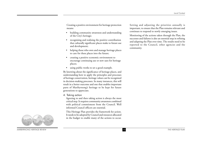Creating a positive environment for heritage protection means:

- • building community awareness and understanding of the City's heritage;
- • recognising and realising the positive contribution that culturally significant places make to future use and development;
- • helping those who own and manage heritage places to care for these places into the future;
- • creating a positive economic environment to encourage continuing use or new uses for heritage places;
- •using public works to set a good example.

By knowing about the significance of heritage places, and understanding how to apply the principles and processes of heritage conservation, heritage values can be recognised in decision-making processes. In many instances, this will result in a better outcome and one that enables important parts of Maribyrnong's heritage to be kept for future generations to appreciate.

4. Taking action

Agreeing to and then taking action is always the most critical step. It requires community awareness combined with political commitment from the Council. Well informed Council officers are essential.

This Heritage Plan provides the framework for action. It needs to be adopted by Council and resources allocated in the budget to enable many of the actions to occur. Setting and adjusting the priorities annually is important, to ensure that the Plan remains relevant and continues to respond to newly emerging issues.

Monitoring of the actions taken through the Plan, the successes and failures is also an essential step in refining and adapting the Plan over time. The results need to be reported to the Council, other agencies and the community.



*MARIBYRNONG HERITAGE REVIEW* 15 *THE HERITAGE PLAN*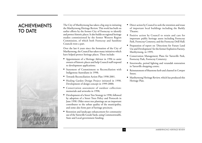# ACHIEVEMENTS TO DATE



The City of Maribyrnong has taken a big step in initiating the Maribyrnong Heritage Review. This work has built on earlier efforts by the former City of Footscray to identify and protect historic places. It also builds on regional heritage studies commissioned by the former Western Region Commission, of which both Footscray and Sunshine Councils were a part.

Over the last 6 years since the formation of the City of Maribyrnong, the Council has taken many initiatives which have helped protect heritage places. These include:

- Appointment of a Heritage Advisor in 1996 to assist owners of historic places and help Council staff respond to development applications;
- Statement of Commitment to Reconciliation with Indigenous Australians in 1998;
- Towards Reconciliation Action Plan 1998-2001.
- Healing Garden Design Project initiated in 1998. Development of design concept in 1999-2000;
- Conservation assessment of outdoor collection: memorials and artworks in 1998;
- Development of a Street Tree Strategy in 1998, followed by adoption of a Street Trees Policy and Protocols in June 1998. Older street tree plantings are an important contributor to the urban quality of the municipality, and some also form part of heritage precincts;
- Retention and landscape enhancement for community use of the Yarraville Goods Yards, using Commonwealth, State and Local government funding;
- Direct action by Council to seek the retention and reuse of important local buildings including the Barkly Theatre;
- Positive action by Council to retain and care for important public heritage assets including Footscray Park, Footscray Cemetery, and the Footscray Drill Hall;
- Preparation of report on 'Directions for Future Land Use and Development' for the former Explosives Factory, Maribyrnong, in 1999;
- Conservation Management Plans for Yarraville Park, Footscray Park, Footscray Cemetery;
- Streetworks, period lighting and verandah restoration in Yarraville shopping centre;
- Reinstatement of bluestone kerb and channel in Cowper Street;
- Maribyrnong Heritage Review, which has produced this Heritage Plan.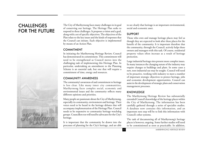# **CHALLENGES** FOR THE FUTURE



The City of Maribyrnong faces many challenges in its goal of conserving our heritage. The Heritage Plan seeks to respond to these challenges. It proposes a vision and a goal, along with a set of specific objectives. The objectives of the Plan relate to the key issues and the kinds of responses that the Council can initiate. Each objective is implemented by means of an Action Plan.

#### COMMITMENT

In initiating the Maribyrnong Heritage Review, Council has demonstrated its commitment. This commitment will need to be strengthened as Council moves into the challenging task of implementing this Heritage Plan. In particular, undertaking an amendment to the Planning Scheme is an essential task, but one that will require a commitment of time, energy and resources.

#### COMMUNITY AWARENESS

The community's awareness of and commitment to heritage is less clear. Like many inner city communities, Maribyrnong faces complex social, economic and environmental issues and the community reflects many different opinions and priorities.

Many people are passionate about the City of Maribyrnong, especially its community, environment and heritage. Their voices need to be heard in the heritage debates that will accompany implementation of the Heritage Plan. Council needs to be responsive to community heritage watchdog groups. Councillors too will need be advocates for the City's heritage.

It is important that the community be drawn into the processes of planning for the City's heritage, and are able to see clearly that heritage is an important environmental, social and economic asset.

#### SUPPORT

Those who own and manage heritage places may feel as though they are expected to look after these places for the benefit of the community. It is important therefore that the community, through the Council, actively helps these owners and managers with this task. Of course, residential property values often increase as a result of heritage protection.

Large industrial heritage sites present more complex issues. In many instances the changing nature of the industry may require changes to buildings and plant. In some cases a new, non-industrial use may be sought. Council will need to be proactive, working with industry to meet a number of important strategic objectives to protect heritage, jobs and economic development opportunities. Council can assist in the development of strategic plans and conservation management processes.

#### KNOWLEDGE

The Maribyrnong Heritage Review has substantially extended Council's knowledge of the heritage places within the City of Maribyrnong. The information has been carefully gathered through a series of specialist studies. A database now contains this information, and an important next step will be to link this information with Council's other systems.

The task of documenting all of Maribyrnong's heritage <sup>p</sup>laces is however, ongoing. Some further studies will need to be commissioned as soon as practicable. In addition,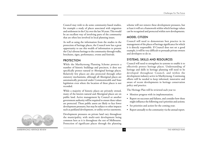Council may wish to do some community-based studies, for example a study of places associated with migration and settlement in the City over the last 50 years. This would be an excellent way of involving parts of the community that are often less involved in local planning issues.

As well as using the information from the studies in the protection of heritage places, the Council now has a great opportunity to use this wealth of information to present the City's diverse heritage to the community through walks, brochures, signs, performance, events and festivals.

#### **PROTECTION**

While the Maribyrnong Planning Scheme protects a number of historic buildings and precincts, it does not specifically protect natural or Aboriginal heritage places. Relatively few places are also protected through other statutory mechanisms, although all Aboriginal places are automatically protected under Commonwealth and State legislation even where the location of these places is not recorded.

While a majority of historic places are privately owned, many of the known natural and Aboriginal places are on public land. Active management by Council or another government authority will be required to ensure these values are protected. These public assets are likely to face fewer development pressures, but may be subject to other impacts such as parkland development, or utility service easements.

Development pressures on private land vary throughout the municipality, with multi-unit development being common here as it is throughout the rest of Melbourne. Protection of significant places through the planning

scheme will not remove these development pressures, but at least it will set a framework within which heritage values can be recognised and protected within new developments.

#### MODEL CITIZEN

Council will need to demonstrate best practice in its management of the places of heritage significance for which it is directly responsible. If Council does not set a good example, it will be very difficult to persuade private owners and developers to do so.

#### SYSTEMS, SKILLS AND RESOURCES

Council will need to strengthen its systems to enable it to effectively protect heritage places. Understanding of heritage and skills in heritage planning will need to be developed throughout Council, and within the development industry active in Maribyrnong. Continuing efforts will be needed to keep informed, innovative and aware of recent developments in heritage conservation policy and practice.

The Heritage Plan will be reviewed each year to:

- Monitor progress with its implementation;
- Report on successes and failures, and consider how these might influence the following year's priorities and actions;
- Set priorities and action for the coming year;
- Report annually to the community via the annual report.

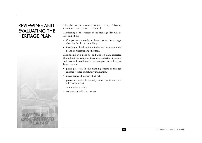# REVIEWING AND EVALUATING THE HERITAGE PLAN



The plan will be reviewed by the Heritage Advisory Committee, and reported to Council.

Monitoring of the success of the Heritage Plan will be determined by:

- Comparing the results achieved against the strategic objective for that Action Plan;
- Developing local heritage indicators to monitor the health of Maribyrnong's heritage.

Monitoring will need to be based on data collected throughout the year, and these data collection processes will need to be established. For example, data is likely to be needed on:

- <sup>p</sup>laces protected (in the planning scheme or through another register or statutory mechanism);
- •<sup>p</sup>laces damaged, destroyed, at risk;
- positive examples of actions by owners (inc Council and other authorities);
- $\bullet$ community activities;
- •assistance provided to owners.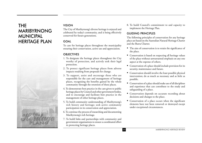# THE MARIBYRNONG MUNICIPAL HERITAGE PLAN



#### VISION

The City of Maribyrnong's diverse heritage is enjoyed and celebrated by today's community, and is being effectively conserved for future generations.

#### GOAL

To care for heritage places throughout the municipality ensuring their conservation, active use and appreciation.

#### **OBJECTIVES**

- 1. To designate the heritage places throughout the City worthy of protection, and actively seek their legal protection.
- 2. To protect significant heritage places from adverse impacts resulting from proposals for change.
- 3. To support, assist and encourage those who are responsible for the care and management of heritage <sup>p</sup>laces, recognising the benefits gained by the whole community through the retention of these places.
- 4. To demonstrate best practice in the care given to public heritage places by Council and other government bodies, and to encourage and facilitate best practice in the management of other heritage places.
- 5. To build community understanding of Maribyrnong's rich history and heritage; seek active community participation in its conservation and appreciation.
- 6. To continue the process of researching and documenting Maribyrnong's rich heritage.
- 7. To build links and partnerships with community and government organisations to ensure a coordinated effort in protecting heritage places.

8. To build Council's commitment to and capacity to implement the Heritage Plan.

#### GUIDING PRINCIPLES

The following principles of conservation for any heritage <sup>p</sup>lace are based on the Australian Natural Heritage Charter and the Burra Charter.

- The aim of conservation is to retain the significance of the place.
- Conservation is based on respecting all heritage values of the place without unwarranted emphasis on any one aspect at the expense of others.
- Conservation of a place should include provision for its security, maintenance and future.
- Conservation should involve the least possible physical intervention; do as much as necessary and as little as possible.
- Conservation of a place should make use of all disciplines and experience that can contribute to the study and safeguarding of a place.
- Conservation depends on accurate recording about decisions and changes to the place.
- Conservation of a place occurs when the significant elements have not been removed or destroyed except under exceptional circumstances.

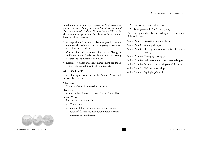In addition to the above principles, the *Draft Guidelines for the Protection, Management and Use of Aboriginal and Torres Strait Islander Cultural Heritage Places 1997* contain three important principles for places with indigenous heritage values. These are:

- Aboriginal and Torres Strait Islander people have the right to make decisions about the ongoing management of their cultural heritage.
- Consultation and agreement with relevant Aboriginal and Torres Strait Islander people is essential to making decisions about the future of a place.
- Records of places and their management are made, stored and accessed in culturally appropriate ways.

#### ACTION PLANS

The following sections contain the Actions Plans. Each Action Plan contains:

#### **Objective:**

What the Action Plan is seeking to achieve

#### **Rationale:**

A brief explanation of the reason for the Action Plan

#### **Action Chart:**

Each action spelt out with:

- •The action;
- • Responsibility—Council branch with primary responsibility for the action, with other relevant branches in parentheses;
- •Partnership—external partners;
- $\bullet$ Timing—Year 1, 2 or 3, or ongoing;

There are eight Action Plans, each designed to achieve one of the objectives.

Action Plan 1 – Protecting heritage places.

Action Plan 2 – Guiding change.

- Action Plan 3 Helping the custodians of Maribyrnong's heritage.
- Action Plan 4 Managing heritage places.
- Action Plan 5 Building community awareness and support.
- Action Plan 6 Documenting Maribyrnong's heritage.
- Action Plan 7 Links & partnerships.
- Action Plan 8 Equipping Council.

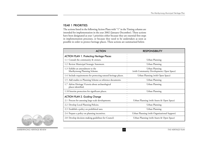#### YEAR 1 PRIORITIES

The actions listed in the following Action Plans with "1" in the Timing column are intended for implementation in the year 2002 (January-December). These actions have been designated as year 1 priorities either because they are essential first steps in implementation processes, or because they need to be undertaken as soon as possible in order to protect heritage places. These actions are summarised below.

| <b>ACTION</b>                                                           | <b>RESPONSIBILITY</b>                                      |
|-------------------------------------------------------------------------|------------------------------------------------------------|
| <b>ACTION PLAN 1. Protecting Heritage Places</b>                        |                                                            |
| 1.1 Consult the community & owners.                                     | Urban Planning                                             |
| 1.2 Review Municipal Strategic Statement.                               | Urban Planning                                             |
| 1.3 Exhibit an amendment to the<br>Maribyrnong Planning Scheme.         | Urban Planning<br>(with Community Development; Open Space) |
| 1.4 Include requirements for protecting natural heritage places.        | Urban Planning (with Open Space)                           |
| 1.5 Add studies to Planning Scheme as reference documents.              | Urban Planning                                             |
| 1.7 Advise Heritage Victoria about archaeological<br>places identified. | Urban Planning                                             |
| 1.10 Interim protection for significant places.                         | Urban Planning                                             |
| <b>ACTION PLAN 2. Guiding Change</b>                                    |                                                            |
| 2.1 Process for assessing large-scale developments.                     | Urban Planning (with Assets & Open Space)                  |
| 2.2 Develop Local Planning Policies.                                    | Urban Planning                                             |
| 2.3 Establish a policy on prohibited uses.                              | Urban Planning                                             |
| 2.4 Prepare a policy on planning incentives.                            | Urban Planning (with Organisational Support)               |
| 2.8 Develop decision-making guidelines for Council.                     | Urban Planning (with Assets & Open Space)                  |



**MARIBYRNONG HERITAGE REVIEW** THE **THE HERITAGE PLAN**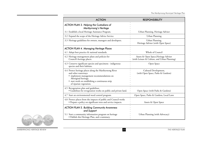| <b>ACTION</b>                                                                                                                                                                                                                     | <b>RESPONSIBILITY</b>                                                                 |
|-----------------------------------------------------------------------------------------------------------------------------------------------------------------------------------------------------------------------------------|---------------------------------------------------------------------------------------|
| <b>ACTION PLAN 3. Helping the Custodians of</b><br>Maribyrnong's Heritage                                                                                                                                                         |                                                                                       |
| 3.1 Establish a local Heritage Assistance Program.                                                                                                                                                                                | Urban Planning, Heritage Adviser                                                      |
| 3.2 Expand the scope of the Heritage Advice Service.                                                                                                                                                                              | Urban Planning                                                                        |
| 3.3 Heritage guidelines for owners, managers and developers.                                                                                                                                                                      | Urban Planning,<br>Heritage Adviser (with Open Space)                                 |
| <b>ACTION PLAN 4. Managing Heritage Places</b>                                                                                                                                                                                    |                                                                                       |
| 4.1 Adopt best practice & national standards.                                                                                                                                                                                     | Whole of Council                                                                      |
| 4.2 Heritage management plans and policies for<br>Council's heritage places.                                                                                                                                                      | Assets & Open Space, Heritage Adviser<br>(with Leisure & Culture, and Urban Planning) |
| 4.3 Conserve significant species and specimens - indigenous<br>species and their habitats.                                                                                                                                        | Open Space                                                                            |
| 4.4 Protect heritage places along the Maribyrnong River<br>and other waterways<br>· implement management recommendations on<br>Aboriginal heritage.<br>· start work on establishing a continuous strip<br>of riparian vegetation. | Cultural Development,<br>(with Open Space, Parks & Gardens)                           |
| 4.5 Revegetation plan and guidelines<br>• Guidelines for revegetation works on public and private land.                                                                                                                           | Open Space (with Parks & Gardens)                                                     |
| 4.7 Start an environmental weed control program.                                                                                                                                                                                  | Open Space, Parks & Gardens, Local Laws                                               |
| 4.8 Protect places from the impacts of public and Council works<br>• Prepare a policy on significant trees and service impacts.                                                                                                   | Assets & Open Space                                                                   |
| <b>ACTION PLAN 5. Building Community Awareness</b><br>and Support                                                                                                                                                                 |                                                                                       |
| 5.1 Start a community information program on heritage<br>· Publish this Heritage Plan, and a summary.                                                                                                                             | Urban Planning (with Advocacy)                                                        |



**MARIBYRNONG HERITAGE REVIEW THE HERITAGE PLAN**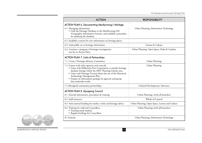| <b>ACTION</b>                                                                                                                                                                                                                                                                                                                                                  | <b>RESPONSIBILITY</b>                           |
|----------------------------------------------------------------------------------------------------------------------------------------------------------------------------------------------------------------------------------------------------------------------------------------------------------------------------------------------------------------|-------------------------------------------------|
| <b>ACTION PLAN 6. Documenting Maribyrnong's Heritage</b><br>6.1 Managing information                                                                                                                                                                                                                                                                           | Urban Planning, Information Technology          |
| • Link the Heritage Database to the Maribyrnong GIS<br>(Geographic Information System), and establish a procedure<br>for updating the database.                                                                                                                                                                                                                |                                                 |
| 6.2 Establish a system for new information on heritage places.                                                                                                                                                                                                                                                                                                 |                                                 |
| 6.3 Link public art to heritage information.                                                                                                                                                                                                                                                                                                                   | Leisure & Culture                               |
| 6.4 Continue a program of heritage investigations<br>(see list in Action Plan).                                                                                                                                                                                                                                                                                | Urban Planning, Open Space, Parks & Gardens     |
| <b>ACTION PLAN 7. Links &amp; Partnerships</b>                                                                                                                                                                                                                                                                                                                 |                                                 |
| 7.1 Create a Heritage Advisory Committee.                                                                                                                                                                                                                                                                                                                      | Urban Planning                                  |
| 7.2 Liaison with other agencies and councils.<br>• Liaise with Melbourne Port Corporation to transfer heritage<br>database listings within the MPC Planning Scheme area.<br>• Liaise with Heritage Victoria about the use of the Historical<br>Archaeology Management Plan.<br>• Prepare an information package for agencies and group<br>that undertake works | Urban Planning                                  |
| 7.3 Aboriginal community partnerships.                                                                                                                                                                                                                                                                                                                         | Cultural Development, Advocacy                  |
| <b>ACTION PLAN 8. Equipping Council</b>                                                                                                                                                                                                                                                                                                                        |                                                 |
| 8.1 Internal information, procedures & training.                                                                                                                                                                                                                                                                                                               | Urban Planning, (with all branches)             |
| 8.2 Staff resources.                                                                                                                                                                                                                                                                                                                                           | Whole of Council                                |
| 8.3 Seek external funding for studies, works and heritage advice.                                                                                                                                                                                                                                                                                              | Urban Planning, Open Space, Leisure and Culture |
| 8.4 Training for staff and Councillors.<br>• Training needs analysis.<br>• Regular briefings for Councillors.                                                                                                                                                                                                                                                  | Urban Planning (with all branches)              |
| 8.5 Systems                                                                                                                                                                                                                                                                                                                                                    | Urban Planning, Information Technology          |



**MARIBYRNONG HERITAGE REVIEW THE HERITAGE PLAN**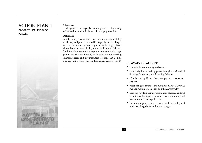## ACTION PLAN 1 PROTECTING HERITAGE PLACES



#### **Objective:**

To designate the heritage places throughout the City worthy of protection, and actively seek their legal protection.

#### **Rationale:**

Maribyrnong City Council has a statutory responsibility to identify and protect cultural heritage places. It is obliged to take action to protect significant heritage places throughout the municipality under its Planning Scheme. Heritage places require active protection, combining legal protection (Action Plan 1) with guidance on meeting changing needs and circumstances (Action Plan 2) plus positive support for owners and managers (Action Plan 3).

- Consult the community and owners.
- Protect significant heritage places through the Municipal Strategic Statement, and Planning Scheme.
- Nominate significant heritage places to statutory registers.
- Meet obligations under the *Flora and Fauna Guarantee Act* and Action Statements, and the *Heritage Act*.
- Seek to provide interim protection for places considered of potential heritage significance that are awaiting full assessment of their significance.
- Review the protective actions needed in the light of anticipated legislative and other changes.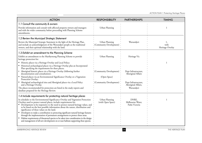| <b>ACTION</b>                                                                                                                                                                                                                                                                                                                                                                                                                                                                                                                                                                                                                                                                                                                                                                                            | <b>RESPONSIBILITY</b>                                                                | <b>PARTNERSHIPS</b>                                                                                                     | <b>TIMING</b>            |
|----------------------------------------------------------------------------------------------------------------------------------------------------------------------------------------------------------------------------------------------------------------------------------------------------------------------------------------------------------------------------------------------------------------------------------------------------------------------------------------------------------------------------------------------------------------------------------------------------------------------------------------------------------------------------------------------------------------------------------------------------------------------------------------------------------|--------------------------------------------------------------------------------------|-------------------------------------------------------------------------------------------------------------------------|--------------------------|
| 1.1 Consult the community & owners<br>Provide information and consult with affected property owners and managers<br>and with the wider community before proceeding with Planning Scheme<br>amendments.                                                                                                                                                                                                                                                                                                                                                                                                                                                                                                                                                                                                   | Urban Planning                                                                       |                                                                                                                         |                          |
| 1.2 Review the Municipal Strategic Statement<br>Review the Municipal Strategic Statement in the light of the Heritage Plan,<br>and include an acknowledgment of the Wurundjeri people as the traditional<br>owners, and their spiritual relationship with the land.                                                                                                                                                                                                                                                                                                                                                                                                                                                                                                                                      | Urban Planning<br>(Community Development)                                            | Wurundjeri                                                                                                              | with<br>Heritage Overlay |
| 1.3 Exhibit an amendment to the Planning Scheme<br>Exhibit an amendment to the Maribyrnong Planning Scheme to provide<br>heritage protection for:<br>Historic places via a Heritage Overlay and Local Policy;<br>Historical archaeological places via a Heritage Overlay plus an Incorporated<br>Plan specifying the requirements for these places;<br>Aboriginal historic places via a Heritage Overlay (following further<br>documentation and consultation);<br>Natural places via an Environmental Significance Overlay or a Vegetation<br>Protection Overlay;<br>Aboriginal archaeological sites and Aboriginal places via a Local Policy<br>and a Heritage Overlay.<br>The places recommended for protection are listed in the study reports and<br>database prepared for the Heritage Review.     | Urban Planning<br>(Community Development)<br>(Open Space)<br>(Community Development) | Heritage Vic<br>Dept Infrastructure,<br>Aboriginal Affairs<br>Dept Infrastructure,<br>Aboriginal Affairs,<br>Wurundjeri |                          |
| 1.4 Include requirements for protecting natural heritage places<br>In schedules to the Environmental Significance Overlay and Vegetation Protection<br>Overlays used to protect natural places, include requirements for:<br>Development to be responsive to the need to protect natural heritage values, and<br>to be based on the best possible information about the nature, distribution and<br>significance of these values on the land;<br>Developers to make a contribution to protecting significant natural heritage features<br>through the implementation of permanent arrangements to protect these areas.<br>Habitat requirements of threatened species to be taken into consideration in the design<br>and management of all new development on or near habitats supporting these species. | Urban Planning<br>(with Open Space)                                                  | DNRE,<br>Melbourne Water,<br>Parks Victoria                                                                             |                          |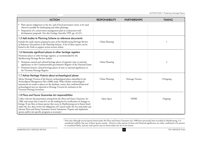| <b>ACTION</b>                                                                                                                                                                                                                                                                                                                                                                                                                | <b>RESPONSIBILITY</b> | <b>PARTNERSHIPS</b> | <b>TIMING</b> |
|------------------------------------------------------------------------------------------------------------------------------------------------------------------------------------------------------------------------------------------------------------------------------------------------------------------------------------------------------------------------------------------------------------------------------|-----------------------|---------------------|---------------|
| Plant species indigenous to the site, and of local provenance stock, to be used<br>wherever possible for landscaping and other plantings.<br>Preparation of a conservation management plan in conjunction with<br>development proposals. (See also Ecology Australia 1999, pp. 42-43.)                                                                                                                                       |                       |                     |               |
| 1.5 Add studies to Planning Scheme as reference documents<br>Include the study reports prepared as part of the Maribyrnong Heritage Review<br>as Reference Documents in the Planning Scheme. A list of these reports can be<br>found in the Tools to support action section, below.                                                                                                                                          | Urban Planning        |                     |               |
| 1.6 Nominate significant places to other heritage registers<br>Nominate places to other heritage registers, as recommended by the<br>Maribyrnong Heritage Review studies:                                                                                                                                                                                                                                                    |                       |                     |               |
| • Nominate natural and cultural heritage places of regional, state or national<br>significance to the Commonwealth government's Register of the National Estate.<br>• Nominate historic cultural heritage places of state or national significance to<br>the Victorian Heritage Register.                                                                                                                                    | Urban Planning        |                     | 2             |
| 1.7 Advise Heritage Victoria about archaeological places<br>Advise Heritage Victoria of the historic archaeological places identified in the<br>Archaeological Management Plan (2000) study. When further archaeological<br>assessments are made to places on the database, ensure that confirmed historical<br>archaeological sites are reported to Heritage Victoria for inclusion in the<br>Victorian Heritage Inventory. | Urban Planning        | Heritage Victoria   | 1/Ongoing     |
| 1.8 Flora and Fauna Guarantee Act responsibilities<br>Collect relevant documentation arising from the Flora and Fauna Guarantee Act<br>1988, and ensure that Council is on the mailing list for notification of changes to<br>listings. If any flora or fauna species that occur in Maribyrnong are in future listed                                                                                                         | Open Space            | <b>DNRE</b>         | Ongoing       |
| under the Act, then review the obligations of Council under the Act and under any<br>relevant Flora and Fauna Guarantee Action Statements. Prepare and implement<br>species and/or site-specific programs as necessary <sup>1</sup> .                                                                                                                                                                                        |                       |                     |               |

 $^{\rm 1}$  Note that although several species listed under the Flora and Fauna Guarantee Act 1988 have previously been recorded in Maribyrnong, it is considered unlikely that any of these species remain. However other species of State and National significance are either confirmed to be present or considered likely, and any such species may be listed under the Act in the future.

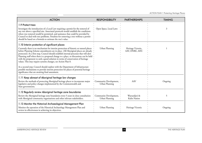| <b>ACTION</b>                                                                                                                                                                                                                                                                                                                                                                                                                                                                                                                                                                                                                                                                                                                                  | <b>RESPONSIBILITY</b>                    | <b>PARTNERSHIPS</b>                  | <b>TIMING</b> |
|------------------------------------------------------------------------------------------------------------------------------------------------------------------------------------------------------------------------------------------------------------------------------------------------------------------------------------------------------------------------------------------------------------------------------------------------------------------------------------------------------------------------------------------------------------------------------------------------------------------------------------------------------------------------------------------------------------------------------------------------|------------------------------------------|--------------------------------------|---------------|
| 1.9 Protect trees                                                                                                                                                                                                                                                                                                                                                                                                                                                                                                                                                                                                                                                                                                                              |                                          |                                      |               |
| Investigate the introduction of a Local Law requiring a permit for the removal of<br>any tree above a specified size. Associated protocols would establish the conditions<br>where tree removal would be permitted, and assistance that could be provided by<br>Council to deal with tree problems. Penalties for removing a tree without a permit<br>should be based on a formula to estimate the tree's value.                                                                                                                                                                                                                                                                                                                               | Open Space, Local Laws                   |                                      | 3             |
| 1.10 Interim protection of significant places                                                                                                                                                                                                                                                                                                                                                                                                                                                                                                                                                                                                                                                                                                  |                                          |                                      |               |
| Currently there is no mechanism for interim protection of historic or natural places<br>before Planning Scheme amendments are in place. (All Aboriginal places are already<br>protected.) As a first step, Council should establish internal processes that will alert<br>Planning staff when there is a proposed change to a place, so discussions can be held<br>with the proponent to seek a good solution in terms of conservation of heritage<br>values. This may require systems changes, see Action Plan 8.<br>As a second step, Council should explore with the Department of Infrastructure<br>possible mechanisms to provide interim protection for places of potential heritage<br>significance that are awaiting final assessment. | Urban Planning                           | Heritage Victoria,<br>AAV, DNRE, AHC |               |
| 1.11 Keep abreast of Aboriginal heritage law changes                                                                                                                                                                                                                                                                                                                                                                                                                                                                                                                                                                                                                                                                                           |                                          |                                      |               |
| Review the methods of protecting Aboriginal heritage places to incorporate major<br>legislative and policy changes implemented by the Commonwealth and<br>State governments.                                                                                                                                                                                                                                                                                                                                                                                                                                                                                                                                                                   | Community Development,<br>Urban Planning | AAV                                  | Ongoing       |
| 1.12 Regularly review Aboriginal heritage zone boundaries                                                                                                                                                                                                                                                                                                                                                                                                                                                                                                                                                                                                                                                                                      |                                          |                                      |               |
| Review the Aboriginal heritage zone boundaries every 5 years in close consultation<br>with Aboriginal community organisations and other relevant stakeholders.                                                                                                                                                                                                                                                                                                                                                                                                                                                                                                                                                                                 | Community Development,<br>Urban Planning | Wurundjeri &<br>Kulin Nation         | 5             |
| 1.13 Monitor the Historical Archaeological Management Plan                                                                                                                                                                                                                                                                                                                                                                                                                                                                                                                                                                                                                                                                                     |                                          |                                      |               |
| Monitor the operation of the Historical Archaeology Management Plan and<br>review its effectiveness in achieving its objectives.                                                                                                                                                                                                                                                                                                                                                                                                                                                                                                                                                                                                               | Urban Planning                           | Heritage Victoria                    | Ongoing       |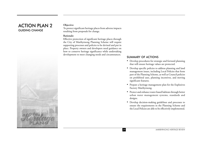# ACTION PLAN 2 GUIDING CHANGE



#### **Objective:**

To protect significant heritage places from adverse impacts resulting from proposals for change.

#### **Rationale:**

Effective protection of significant heritage places through the City of Maribyrnong Planning Scheme will require supporting processes and policies to be devised and put in <sup>p</sup>lace. Property owners and developers need guidance on how to conserve heritage significance while undertaking development to meet changing needs and circumstances.

- Develop procedures for strategic and forward planning that will ensure heritage values are protected.
- Develop specific policies to address planning and land management issues, including Local Policies that form part of the Planning Scheme, as well as Council policies on prohibited uses, planning incentives, and moving significant features.
- Prepare a heritage management plan for the Explosives Factory Maribyrnong.
- Protect and enhance water-based habitats through better urban water management systems, standards and designs.
- Develop decision-making guidelines and processes to ensure the requirements in the Planning Scheme and the Local Policies are able to be effectively implemented.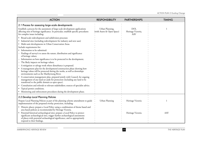| <b>ACTION</b>                                                                                                                                                                                                                                                            | <b>RESPONSIBILITY</b>                         | <b>PARTNERSHIPS</b>               | <b>TIMING</b> |
|--------------------------------------------------------------------------------------------------------------------------------------------------------------------------------------------------------------------------------------------------------------------------|-----------------------------------------------|-----------------------------------|---------------|
| 2.1 Process for assessing large-scale developments                                                                                                                                                                                                                       |                                               |                                   |               |
| Establish a process for the assessment of large-scale development applications<br>affecting sites of heritage significance. In particular, establish specific procedures<br>for complex issues including:                                                                | Urban Planning,<br>(with Assets & Open Space) | DOI,<br>Heritage Victoria,<br>AAV |               |
| · Broad-scale redevelopment and subdivision processes                                                                                                                                                                                                                    |                                               |                                   |               |
| • Industrial sites (including redevelopment for industry and new uses)                                                                                                                                                                                                   |                                               |                                   |               |
| • Multi-unit developments in Urban Conservation Areas.                                                                                                                                                                                                                   |                                               |                                   |               |
| Include requirements for:                                                                                                                                                                                                                                                |                                               |                                   |               |
| • Information to be submitted:                                                                                                                                                                                                                                           |                                               |                                   |               |
| - Findings of survey/s to assess the nature, distribution and significance<br>of heritage values;                                                                                                                                                                        |                                               |                                   |               |
| Information on how significance is to be protected in the development;                                                                                                                                                                                                   |                                               |                                   |               |
| - The likely impacts on heritage values;                                                                                                                                                                                                                                 |                                               |                                   |               |
| A mitigation or salvage work where disturbance is proposed.                                                                                                                                                                                                              |                                               |                                   |               |
| A management plan for the development/construction phase showing how<br>heritage values will be protected during the works, as well as downslope<br>environments such as the Maribyrnong River.                                                                          |                                               |                                   |               |
| • A conservation management plan, prepared jointly with Council, for ongoing<br>management of any land set aside for protection (including any land to be<br>transferred to the public domain as open space).                                                            |                                               |                                   |               |
| Consultation and referrals to relevant stakeholders; sources of specialist advice.                                                                                                                                                                                       |                                               |                                   |               |
| Typical permit conditions.                                                                                                                                                                                                                                               |                                               |                                   |               |
| • Monitoring and enforcement procedures during the development phase.                                                                                                                                                                                                    |                                               |                                   |               |
| 2.2 Develop Local Planning Policies                                                                                                                                                                                                                                      |                                               |                                   |               |
| Prepare Local Planning Policies as part of the planning scheme amendment to guide<br>implementation of the proposed overlay protection, including:                                                                                                                       | Urban Planning                                | Heritage Victoria                 |               |
| • Historic places: prepare a Local Policy using a combination of theme based and<br>area based policies as recommended by Heritage Victoria.                                                                                                                             |                                               |                                   |               |
| Potential historical archaeological sites: prepare a Local Policy to protect<br>significant archaeological sites, trigger further archaeological assessments<br>of places with potential archaeological significance, and to appropriately<br>respond to their findings. |                                               | Heritage Victoria                 | AAV           |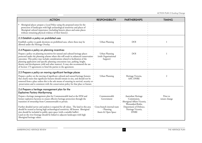| <b>ACTION</b>                                                                                                                                                                                                                                                                                                                                                                                                                                                                                      | <b>RESPONSIBILITY</b>                                            | <b>PARTNERSHIPS</b>                                                                     | <b>TIMING</b>             |
|----------------------------------------------------------------------------------------------------------------------------------------------------------------------------------------------------------------------------------------------------------------------------------------------------------------------------------------------------------------------------------------------------------------------------------------------------------------------------------------------------|------------------------------------------------------------------|-----------------------------------------------------------------------------------------|---------------------------|
| Aboriginal places: prepare a Local Policy using the proposed zones for the<br>protection of landscapes with high archaeological sensitivity and places of<br>Aboriginal cultural importance (including historic places and some places<br>without remaining physical evidence of their history).                                                                                                                                                                                                   |                                                                  |                                                                                         |                           |
| 2.3 Establish a policy on prohibited uses                                                                                                                                                                                                                                                                                                                                                                                                                                                          |                                                                  |                                                                                         |                           |
| Establish a policy to guide decisions on prohibited uses, where these may be<br>allowed under the Heritage Overlay.                                                                                                                                                                                                                                                                                                                                                                                | Urban Planning                                                   | DOI                                                                                     |                           |
| 2.4 Prepare a policy on planning incentives                                                                                                                                                                                                                                                                                                                                                                                                                                                        |                                                                  |                                                                                         |                           |
| Prepare a policy on planning incentives for natural and cultural heritage places<br>protected under the planning scheme where this will result in enhanced conservation.<br>outcomes. This policy may include considerations related to facilitation of the<br>planning application and specific planning concessions (use, parking, height,<br>density and development yield and other matters). It may also recommend the use<br>of Section 173 agreements to bind the parties to the agreement. | Urban Planning<br>(with Organisational<br>Support)               | <b>DOI</b>                                                                              |                           |
| 2.5 Prepare a policy on moving significant heritage places                                                                                                                                                                                                                                                                                                                                                                                                                                         |                                                                  |                                                                                         |                           |
| Prepare a policy on the moving of significant cultural and natural heritage features<br>that clearly states that significant features should remain in situ, and should not be<br>removed from a place unless this is the sole means of ensuring its survival, security or •<br>preservation and is consistent with the conservation policy for that place or feature.                                                                                                                             | Urban Planning                                                   | Heritage Victoria,<br>AAV, DNRE                                                         | 2                         |
| 2.6 Prepare a heritage management plan for the<br><b>Explosives Factory Maribyrnong</b>                                                                                                                                                                                                                                                                                                                                                                                                            |                                                                  |                                                                                         |                           |
| Prepare a heritage management plan for Commonwealth land at the EFM and<br>former explosives factories to ensure effective heritage protection through the<br>transition of ownership from Commonwealth to private.                                                                                                                                                                                                                                                                                | Commonwealth<br>Government                                       | Australian Heritage<br>Commission,<br>Aboriginal Affairs Victoria,<br>Wurundjeri/Kulin, | Prior to<br>tenure change |
| Further detailed survey and analysis is required for all values. The land in this area<br>should be treated as having high archaeological sensitivity. All known Aboriginal<br>sites should be included in public open space (with a suitable buffer).<br>Land on the river frontage should be linked to adjacent landscapes with high<br>Aboriginal heritage values.                                                                                                                              | Cross-branch internal team<br>- Planning,<br>Assets & Open Space | Department of Defence,<br>Heritage Victoria,<br><b>DNRE</b>                             |                           |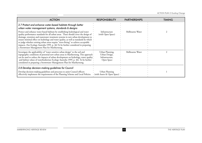| <b>ACTION</b>                                                                                                                                                                                                                                                                                                                                                                                                                                                                                                                                                                   | <b>RESPONSIBILITY</b>                                             | <b>PARTNERSHIPS</b> | <b>TIMING</b> |
|---------------------------------------------------------------------------------------------------------------------------------------------------------------------------------------------------------------------------------------------------------------------------------------------------------------------------------------------------------------------------------------------------------------------------------------------------------------------------------------------------------------------------------------------------------------------------------|-------------------------------------------------------------------|---------------------|---------------|
| 2.7 Protect and enhance water-based habitats through better<br>urban water management systems, standards & designs                                                                                                                                                                                                                                                                                                                                                                                                                                                              |                                                                   |                     |               |
| Protect and enhance water-based habitats by establishing hydrological and water<br>quality performance standards for all urban areas. These should cover the design of<br>drainage, retention and wastewater treatment systems in new urban development to<br>ensure minimal effect on hydrology and water quality, as well as standards by which<br>to judge whether existing urban areas require "retro-fitting" to achieve acceptable<br>impacts. (See Ecology Australia 1999, p. 46) To be further considered in preparing<br>a Stormwater Management Plan for Maribyrnong. | Infrastructure<br>(with Open Space)                               | Melbourne Water     |               |
| Investigate the applicability of "water sensitive urban design" to the soil and<br>topographic conditions of potential new urban areas in Maribyrnong. This approach .<br>can be used to reduce the impacts of urban development on hydrology, water quality *<br>and habitat values of waterbodies(see Ecology Australia 1999, p. 46). To be further<br>considered in preparing a Stormwater Management Plan for Maribyrnong.                                                                                                                                                  | Urban Planning,<br>Urban Design,<br>Infrastructure,<br>Open Space | Melbourne Water     |               |
| 2.8 Develop decision-making guidelines for Council<br>Develop decision-making guidelines and processes to assist Council officers<br>effectively implement the requirements of the Planning Scheme and Local Policies.                                                                                                                                                                                                                                                                                                                                                          | Urban Planning<br>• (with Assets & Open Space)                    |                     |               |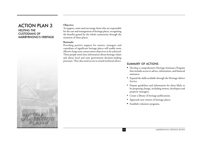#### ACTION PLAN 3 HELPING THE CUSTODIANS OF MARIBYRNONG'S HERITAGE



#### **Objective:**

To support, assist and encourage those who are responsible for the care and management of heritage places, recognising the benefits gained by the whole community through the retention of these places.

#### **Rationale:**

Providing positive support for owners, managers and custodians of significant heritage places will enable more effective long-term conservation objectives to be achieved. These people need clear information about heritage values and about local and state government decision-making processes. They also need access to sound technical advice.

- Develop a comprehensive Heritage Assistance Program that includes access to advice, information, and financial assistance.
- Expand the skills available through the Heritage Advice Service.
- Prepare guidelines and information for those likely to be proposing change, including owners, developers and property managers.
- Create a library of heritage publications.
- Approach new owners of heritage places.
- Establish volunteer programs.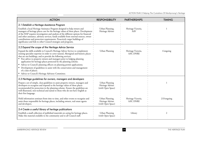| <b>ACTION</b>                                                                                                                                                                                                                                                                                                                                                                                                                                                                                                                                                                                                                  | <b>RESPONSIBILITY</b>                                    | <b>PARTNERSHIPS</b>             | <b>TIMING</b>  |
|--------------------------------------------------------------------------------------------------------------------------------------------------------------------------------------------------------------------------------------------------------------------------------------------------------------------------------------------------------------------------------------------------------------------------------------------------------------------------------------------------------------------------------------------------------------------------------------------------------------------------------|----------------------------------------------------------|---------------------------------|----------------|
| 3.1 Establish a Heritage Assistance Program                                                                                                                                                                                                                                                                                                                                                                                                                                                                                                                                                                                    |                                                          |                                 |                |
| Establish a local Heritage Assistance Program designed to help owners and<br>managers of heritage places care for the heritage values of these places. Development.<br>of the HAP requires investigation and analysis of the different options for financial<br>and other assistance, advisory services, funds available from external sources, owner<br>contributions and protection requirements. Proactively target buildings of<br>significance and link to other Council strategies and programs.                                                                                                                         | Urban Planning,<br>Heritage Adviser                      | Heritage Victoria,<br>AAV       |                |
| 3.2 Expand the scope of the Heritage Advice Service                                                                                                                                                                                                                                                                                                                                                                                                                                                                                                                                                                            |                                                          |                                 |                |
| Expand the skills available to Council's Heritage Advice Service to complement<br>existing specialist expertise in order to cover natural, Aboriginal and historic places<br>that are not buildings, and to provide the following services:<br>• Free advice to property owners and managers prior to lodging planning<br>application for heritage places protected by the planning scheme;<br>Advice to Council's planning officers on planning permit applications;<br>Development of guidelines to assist with the conservation and management<br>of a class of places;<br>Advice to Council's Heritage Advisory Committee. | Urban Planning                                           | Heritage Victoria,<br>AAV, DNRE | 1/ongoing      |
| 3.3 Heritage guidelines for owners, managers and developers                                                                                                                                                                                                                                                                                                                                                                                                                                                                                                                                                                    |                                                          |                                 |                |
| Prepare a set of simple, clear guidelines to assist property owners, managers and<br>developers to recognise and respond to the heritage values of those places<br>recommended for protection in the planning scheme. Ensure the guidelines are<br>well-illustrated, non-technical and suited to those who do not have English as<br>their first language.                                                                                                                                                                                                                                                                     | Urban Planning<br>Heritage Adviser<br>(with Open Space)  |                                 |                |
| Hold information seminars from time to time, and other events to recognise and<br>assist those responsible for heritage places, including owners, real estate agents<br>and developers.                                                                                                                                                                                                                                                                                                                                                                                                                                        | Urban Planning,<br>Heritage Adviser<br>(with Open Space) | Heritage Victoria,<br>AAV, DNRE | $2/3$ /ongoing |
| 3.4 Create a useful library of heritage publications                                                                                                                                                                                                                                                                                                                                                                                                                                                                                                                                                                           |                                                          |                                 |                |
| Establish a small collection of published materials on caring for heritage places.<br>Make this material available to the community and to all Council staff.                                                                                                                                                                                                                                                                                                                                                                                                                                                                  | Urban Planning<br>(with Open Space)                      | Library                         | 2              |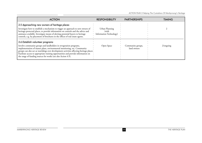| <b>ACTION</b>                                                                                                                                                                                                                                                                                                                                                                                     | <b>RESPONSIBILITY</b>                              | <b>PARTNERSHIPS</b>              | TIMING       |
|---------------------------------------------------------------------------------------------------------------------------------------------------------------------------------------------------------------------------------------------------------------------------------------------------------------------------------------------------------------------------------------------------|----------------------------------------------------|----------------------------------|--------------|
| 3.5 Approaching new owners of heritage places                                                                                                                                                                                                                                                                                                                                                     |                                                    |                                  |              |
| Investigate how to establish a mechanism to trigger an approach to new owners of<br>heritage-protected places, to provide information on controls and the advice and<br>assistance available. Investigate means of alerting potential buyers to heritage<br>controls, e.g. by placement of brochures in the offices of real estate agents.                                                        | Urban Planning<br>(with<br>Information Technology) |                                  |              |
| 3.6 Establish volunteer programs                                                                                                                                                                                                                                                                                                                                                                  |                                                    |                                  |              |
| Involve community groups and landholders in revegetation programs,<br>implementation of master plans, environmental monitoring, etc. Community<br>groups can also act as watchdogs over development activities affecting heritage places ·<br>Facilitate access to appropriate training opportunities and provide information on<br>the range of funding sources for works (see also Action 4.9). | Open Space                                         | Community groups,<br>land owners | $2/$ ongoing |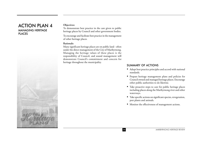## ACTION PLAN 4 MANAGING HERITAGE PLACES



#### **Objectives:**

To demonstrate best practice in the care given to public heritage places by Council and other government bodies.

To encourage and facilitate best practice in the management of other heritage places.

#### **Rationale:**

Many significant heritage places are on public land - often under the direct management of the City of Maribyrnong. Managing the heritage values of these places is the responsibility of Council, and sound management will demonstrate Council's commitment and concern for heritage throughout the municipality.

- Adopt best practice principles and accord with national standards.
- Prepare heritage management plans and policies for Council owned and managed heritage places. Encourage other public authorities to do likewise.
- Take proactive steps to care for public heritage places including places along the Maribyrnong river and other waterways.
- Take specific actions on significant species, revegetation, pest plants and animals.
- Monitor the effectiveness of management actions.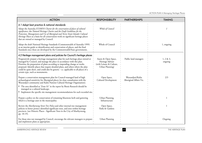| <b>ACTION</b>                                                                                                                                                                                                                                                                                                                                                                                                                                             | <b>RESPONSIBILITY</b>                                                                   | <b>PARTNERSHIPS</b>                         | <b>TIMING</b>           |
|-----------------------------------------------------------------------------------------------------------------------------------------------------------------------------------------------------------------------------------------------------------------------------------------------------------------------------------------------------------------------------------------------------------------------------------------------------------|-----------------------------------------------------------------------------------------|---------------------------------------------|-------------------------|
| 4.1 Adopt best practice & national standards                                                                                                                                                                                                                                                                                                                                                                                                              |                                                                                         |                                             |                         |
| Adopt the Australia ICOMOS Charter for the conservation of places of cultural<br>significance, the Natural Heritage Charter and the Draft Guidelines for the<br>Protection, Management and Use of Aboriginal and Torres Strait Islander Cultural<br>Heritage Places as a basis for all conservation work on significant heritage places<br>that are owned or managed by Council.                                                                          | Whole of Council                                                                        |                                             |                         |
| Adopt the draft National Heritage Standards (Commonwealth of Australia 1999)<br>as an interim guide to identification and conservation of places, and the final<br>Standards once these are developed by the Commonwealth/State governments.                                                                                                                                                                                                              | Whole of Council                                                                        |                                             | 1, ongoing              |
| 4.2 Heritage management plans and policies for Council's heritage places                                                                                                                                                                                                                                                                                                                                                                                  |                                                                                         |                                             |                         |
| Progressively prepare a heritage management plan for each heritage place owned or<br>managed by Council, and manage the place in accordance with this plan.<br>Prioritise the preparation of plans according to impending change or works<br>proposed. Identify places that require detailed plans, and others where the plan<br>could be quite short, and could also be generic - i.e. applicable to all places of a<br>certain type, such as monuments. | Assets & Open Space,<br>Heritage Adviser<br>(with Leisure & Culture,<br>Urban Planning) | Public land managers                        | $1, 2 \& 3,$<br>ongoing |
| Prepare a conservation management plan for Council-managed land of high<br>archaeological sensitivity for Aboriginal places (in close consultation with the<br>Wurundjeri community and Kulin Nations Cultural Heritage Organisation).                                                                                                                                                                                                                    | Open Space,<br>Cultural Development                                                     | Wurundjeri/Kulin<br>Aboriginal Affairs Vic. | 2/3                     |
| • The area identified as 'Zone A1' in the report by Biosis Research should be<br>managed as a cultural landscape.                                                                                                                                                                                                                                                                                                                                         |                                                                                         |                                             |                         |
| • Implement the specific site management recommendations for each recorded site.                                                                                                                                                                                                                                                                                                                                                                          |                                                                                         |                                             |                         |
| Prepare a policy on the conservation of remaining bluestone kerb and guttering<br>which is a heritage asset in the municipality.                                                                                                                                                                                                                                                                                                                          | Urban Planning,<br>Infrastructure                                                       |                                             |                         |
| Review the Maribyrnong Street Tree Policy and other internal tree management<br>policies to better protect identified significant trees, and trees within heritage<br>precincts. (see Historic Places - Significant Trees in the City of Maribyrnong,<br>pp. 18-19).                                                                                                                                                                                      | Open Space,<br>Parks & Gardens                                                          |                                             |                         |
| For those sites not managed by Council, encourage the relevant managers to prepare.<br>and implement plans as appropriate.                                                                                                                                                                                                                                                                                                                                | Urban Planning                                                                          |                                             | Ongoing                 |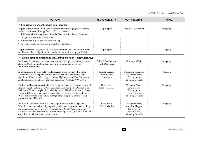| <b>ACTION</b>                                                                                                                                                                                                                                                                                                                                                                                                                                               | <b>RESPONSIBILITY</b>                             | <b>PARTNERSHIPS</b>                                                                              | <b>TIMING</b> |
|-------------------------------------------------------------------------------------------------------------------------------------------------------------------------------------------------------------------------------------------------------------------------------------------------------------------------------------------------------------------------------------------------------------------------------------------------------------|---------------------------------------------------|--------------------------------------------------------------------------------------------------|---------------|
| 4.3 Conserve significant species and specimens                                                                                                                                                                                                                                                                                                                                                                                                              |                                                   |                                                                                                  |               |
| Prepare and implement action plans to conserve the following significant species<br>and their habitats (see Ecology Australia 1999, pp. 44-45):                                                                                                                                                                                                                                                                                                             | Open Space                                        | Land managers, DNRE                                                                              | 1/ongoing     |
| • Pale Swamp Everlasting, known from the Braybrook Rail Reserve Grassland.<br>Tough Scurf-pea, at Jack's Magazine                                                                                                                                                                                                                                                                                                                                           |                                                   |                                                                                                  |               |
| • White Cypress-pine, northern Maribyrnong                                                                                                                                                                                                                                                                                                                                                                                                                  |                                                   |                                                                                                  |               |
| • Growling Grass Frog (potentially present in waterbodies).                                                                                                                                                                                                                                                                                                                                                                                                 |                                                   |                                                                                                  |               |
| Perpetuate identified significant planted trees by collection of seed or other means.<br>(see Historic Places - Significant Trees in the City of Maribyrnong, pp. 18-19).                                                                                                                                                                                                                                                                                   | Open Space                                        |                                                                                                  | Ongoing       |
| 4.4 Protect heritage places along the Maribyrnong River & other waterways                                                                                                                                                                                                                                                                                                                                                                                   |                                                   |                                                                                                  |               |
| Implement the management recommendations for Aboriginal archaeological sites<br>along the Maribyrnong River (zone 'A1') in close consultation with the<br>Wurundjeri community.                                                                                                                                                                                                                                                                             | Cultural Development,<br>(with Open Space)        | Wurundjeri/Kulin                                                                                 | 1/ongoing     |
| In conjunction with other public land managers, manage water bodies within<br>Maribyrnong to ensure protection and enhancement of habitat for the State<br>significant bird species: Great Egret, Nankeen Night-heron and Pied Cormorant,<br>and for Regionally significant waterbirds (see Ecology Australia 1999, p. 46).                                                                                                                                 | Parks & Gardens,<br>Infrastructure.<br>Open Space | Public land managers,<br>Melbourne Water,<br>Friends groups,<br>adjoining Councils               | 3/ongoing     |
| Work with other landowners (public and private) to establish a continuous strip of<br>riparian vegetation along Stony Creek and the Maribyrnong River. Consult with<br>Melbourne Water in the planning and design stages. The width of the strip should<br>maximise habitat and water quality values while considering existing land-use.<br>Where not in conflict with cultural heritage values, indigenous species of local<br>provenance should be used. | Open Space,<br>Parks & Gardens                    | Melbourne Water,<br>land owners,<br>Friends groups,<br>Parks Victoria,<br>adjoining Councils     | 1/ongoing     |
| Work with Melbourne Water to facilitate opportunities for the Platypus and<br>Water Rat in the municipality by improving and enhancing riparian habitat along<br>the upper Maribyrnong River and sections of Stony Creek. Possible measures<br>include revegetation, weed control, protection from predators (including foxes and<br>dogs), bank stabilisation and erosion control.                                                                         | Open Space,<br>Parks & Gardens                    | Melbourne Water,<br>Australian Platypus<br>Conservancy,<br>Parks Victoria,<br>adjoining Councils | $2/$ ongoing  |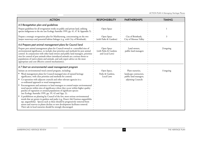| <b>ACTION</b>                                                                                                                                                                                                                                                                                                                                                                                                                                                                                                                                                                                                                                                                                                                                                                                                                                                                                                                                                                                                                        | <b>RESPONSIBILITY</b>                                  | <b>PARTNERSHIPS</b>                                                                       | <b>TIMING</b> |
|--------------------------------------------------------------------------------------------------------------------------------------------------------------------------------------------------------------------------------------------------------------------------------------------------------------------------------------------------------------------------------------------------------------------------------------------------------------------------------------------------------------------------------------------------------------------------------------------------------------------------------------------------------------------------------------------------------------------------------------------------------------------------------------------------------------------------------------------------------------------------------------------------------------------------------------------------------------------------------------------------------------------------------------|--------------------------------------------------------|-------------------------------------------------------------------------------------------|---------------|
| 4.5 Revegetation plan and guidelines                                                                                                                                                                                                                                                                                                                                                                                                                                                                                                                                                                                                                                                                                                                                                                                                                                                                                                                                                                                                 |                                                        |                                                                                           |               |
| Prepare guidelines for all revegetation works on public and private land, utilising<br>species indigenous to the site (see Ecology Australia 1999, pp. 41, 47 & Appendix 5).                                                                                                                                                                                                                                                                                                                                                                                                                                                                                                                                                                                                                                                                                                                                                                                                                                                         | Open Space                                             |                                                                                           |               |
| Prepare a strategic revegetation plan for Maribyrnong, concentrating on the two<br>major waterways and potential habitat linkages (e.g. with City of Brimbank).                                                                                                                                                                                                                                                                                                                                                                                                                                                                                                                                                                                                                                                                                                                                                                                                                                                                      | Open Space<br>(with Parks & Gardens)                   | City of Brimbank,<br>City of Moonee Valley                                                | 3             |
| 4.6 Prepare pest animal management plans for Council land                                                                                                                                                                                                                                                                                                                                                                                                                                                                                                                                                                                                                                                                                                                                                                                                                                                                                                                                                                            |                                                        |                                                                                           |               |
| Prepare pest animal management plans for Council-owned or -controlled sites of<br>environmental significance, to include clear priorities and methods for pest animal<br>control. In conjunction with other land owners and public land managers, prioritise •<br>sites for control of pest animals where introduced animals are a serious threat to<br>populations of native plants and animals, and seek expert advice on the most<br>appropriate and cost-effective control mechanism(s).                                                                                                                                                                                                                                                                                                                                                                                                                                                                                                                                         | Open Space<br>(with Parks & Gardens<br>and Local Laws) | Land owners,<br>public land managers                                                      | $2/$ ongoing  |
| 4.7 Start an environmental weed management program                                                                                                                                                                                                                                                                                                                                                                                                                                                                                                                                                                                                                                                                                                                                                                                                                                                                                                                                                                                   |                                                        |                                                                                           |               |
| Initiate an environmental weed control program, including:<br>• Weed management plans for Council-managed sites of natural heritage<br>significance, with clear priorities and methods for control;<br>• Co-operation with adjacent councils and other relevant agencies in a<br>co-ordinated approach to weed management;<br>Encouragement and assistance to land managers to control major environmental<br>weed species within sites of significance where they occur within higher quality<br>patches of vegetation or around populations of significant species<br>(see Ecology Australia 1999, pp. 39, 42 and App. 2);<br>A prohibition on planting by Council of the few, most serious environmental<br>weeds that are grown in gardens and parks (e.g. Desert Ash Fraxinus angustifolia<br>ssp. angustifolia). Species such as these should be progressively removed from<br>streets and reserves as plants decline or new development facilitates removal.<br>Their sale in local nurseries should be strongly discouraged. | Open Space,<br>Parks & Gardens,<br>Local Laws          | Plant nurseries,<br>landscape contractors,<br>public land managers,<br>adjoining Councils | 1/ongoing     |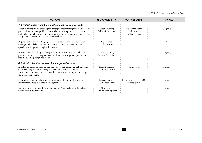| <b>ACTION</b>                                                                                                                                                                                                                                                                                                                                                                          | <b>RESPONSIBILITY</b>                   | <b>PARTNERSHIPS</b>                               | <b>TIMING</b> |
|----------------------------------------------------------------------------------------------------------------------------------------------------------------------------------------------------------------------------------------------------------------------------------------------------------------------------------------------------------------------------------------|-----------------------------------------|---------------------------------------------------|---------------|
| 4.8 Protect places from the impacts of public & Council works<br>Establish procedures for checking the heritage database for significant values to be<br>protected, and for any specific recommendations relating to the site, prior to the<br>undertaking of public works by Council or other agency on or near a heritage site.<br>Design works to avoid impacts on heritage values. | Urban Planning<br>(with Infrastructure) | Melbourne Water.<br>VicRoads,<br>utility agencies | Ongoing       |
| Prepare a policy on protecting significant trees from impacts associated with<br>underground and above-ground services through early consultation with utility<br>agencies and adoption of single utility easements.                                                                                                                                                                   | Open Space,<br>Infrastructure           |                                                   |               |
| When Council is working on strategies or improvement projects in a historic<br>precinct, ensure that heritage conservation issues are incorporated proactively<br>into the planning, design and works.                                                                                                                                                                                 | Urban Planning,<br>Assets & Open Space  |                                                   | Ongoing       |
| 4.9 Monitor the effectiveness of management actions                                                                                                                                                                                                                                                                                                                                    |                                         |                                                   |               |
| Establish a monitoring program that includes regular (at least annual) inspection<br>of remnant vegetation sites, revegetation and weed control activities.<br>Use the results to inform management decisions and where required to change<br>the management regime.                                                                                                                   | Parks & Gardens,<br>(with Open Space)   | Friends groups                                    | Ongoing       |
| Continue to monitor and document the nature and location of significant<br>environmental weed invasions in Maribyrnong.                                                                                                                                                                                                                                                                | Parks & Gardens,<br>(with Open Space)   | Tertiary institutes (eg. VU),<br>Friends groups   | Ongoing       |
| Monitor the effectiveness of protective works at Aboriginal archaeological sites<br>by site visits every two years.                                                                                                                                                                                                                                                                    | Open Space,<br>Cultural Development     |                                                   | Ongoing       |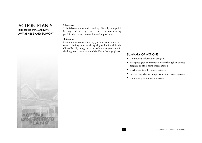## ACTION PLAN 5 BUILDING COMMUNITY AWARENESS AND SUPPORT

#### **Objective:**

To build community understanding of Maribyrnong's rich history and heritage; and seek active community participation in its conservation and appreciation.

#### **Rationale:**

Community awareness and enjoyment of local natural and cultural heritage adds to the quality of life for all in the City of Maribyrnong and is one of the strongest bases for the long-term conservation of significant heritage places.

- Community information program.
- Recognise good conservation works through an awards program or other form of recognition.
- Celebrating Maribyrnong's heritage.
- Interpreting Maribyrnong's history and heritage places.
- Community education and action.

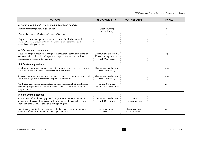| <b>ACTION</b>                                                                                                                                                                                                            | <b>RESPONSIBILITY</b>                                                   | <b>PARTNERSHIPS</b>                     | <b>TIMING</b> |
|--------------------------------------------------------------------------------------------------------------------------------------------------------------------------------------------------------------------------|-------------------------------------------------------------------------|-----------------------------------------|---------------|
| 5.1 Start a community information program on heritage                                                                                                                                                                    |                                                                         |                                         |               |
| Publish this Heritage Plan, and a summary.                                                                                                                                                                               | Urban Planning<br>(with Advocacy)                                       |                                         |               |
| Publish the Heritage Database on Council's Website.                                                                                                                                                                      |                                                                         |                                         | 2             |
| Prepare a regular Heritage Newsletter (twice a year) for distribution to all<br>owners of heritage properties (including precincts) and other interested<br>individuals and organisations.                               |                                                                         |                                         |               |
| 5.2 Awards and recognition                                                                                                                                                                                               |                                                                         |                                         |               |
| Develop a program of awards to recognise individual and community efforts to<br>conserve heritage places, including research, reports, planning, physical and<br>conservation works, new development.                    | Community Development,<br>Urban Planning, Advocacy<br>(with Open Space) |                                         | 2/3           |
| 5.3 Celebrating heritage                                                                                                                                                                                                 |                                                                         |                                         |               |
| Celebrate the Victorian Heritage Festival. Continue to support and participate in<br>NAIDOC Week and National Reconciliation Week events.                                                                                | <b>Community Development</b><br>(with Open Space)                       |                                         | Ongoing       |
| Sponsor and/or promote public events along the waterways to feature natural and<br>cultural heritage values, for example as part of local festivals.                                                                     | <b>Community Development</b><br>(with Open Space)                       |                                         | Ongoing       |
| Celebrate Maribyrnong's heritage places through a program of arts installations<br>(temporary or permanent) commissioned by Council. Link this action to the<br>map and to events.                                       | Leisure & Culture<br>(with Assets & Open Space)                         |                                         | 2/3           |
| 5.4 Interpreting heritage                                                                                                                                                                                                |                                                                         |                                         |               |
| Create a map of Maribyrnong's public heritage assets to promote community<br>awareness and visits to these places. Include heritage walks, cycles, boat trips<br>created by others. Link to the Public Heritage Program. | <b>Community Development</b><br>(with Open Space)                       | DNRE,<br>Heritage Victoria              | 3             |
| Initiate and support other organisations in leading guided walks to visit one or<br>more sites of natural and/or cultural heritage significance.                                                                         | Leisure & Culture,<br>Open Space                                        | Friends groups,<br>Historical societies | 2/3           |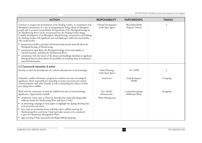| <b>ACTION</b>                                                                                                                                                                                                                                                                                                                                                                                                                                                                                                                               | <b>RESPONSIBILITY</b>                     | <b>PARTNERSHIPS</b>                  | <b>TIMING</b> |
|---------------------------------------------------------------------------------------------------------------------------------------------------------------------------------------------------------------------------------------------------------------------------------------------------------------------------------------------------------------------------------------------------------------------------------------------------------------------------------------------------------------------------------------------|-------------------------------------------|--------------------------------------|---------------|
| Continue to progress the development of the Healing Garden, in consultation with<br>Aboriginal communities, as a way of recognising the living culture of Aboriginal<br>people and to promote reconciliation. Interpretation of the Aboriginal heritage of<br>the Maribyrnong River can be incorporated into the Healing Garden design.<br>Consider development of an Aboriginal cultural heritage interpretation trail linking<br>the Healing Garden with significant sites and landscapes within the municipality.<br>This could involve: | Cultural Development<br>(with Open Space) | Wurundjeri/Kulin<br>Property Owners  | 3             |
| • interpretation leaflets and other information/educational materials about the<br>Aboriginal heritage of Maribyrnong;                                                                                                                                                                                                                                                                                                                                                                                                                      |                                           |                                      |               |
| • interpretation signs about the Aboriginal heritage of the municipality at<br>selected locations, including the Maribyrnong River;                                                                                                                                                                                                                                                                                                                                                                                                         |                                           |                                      |               |
| • consultation with the owners of the houses and buildings identified as significant<br>Aboriginal historic places about the possibility of including them in interpretive<br>materials/information.                                                                                                                                                                                                                                                                                                                                        |                                           |                                      |               |
| 5.5 Community education & action                                                                                                                                                                                                                                                                                                                                                                                                                                                                                                            |                                           |                                      |               |
| Develop or assist the development of a school's education kit on local heritage.                                                                                                                                                                                                                                                                                                                                                                                                                                                            | Urban Planning,<br>(with Open Space)      | VU, LMW                              | 2             |
| Undertake a public information program for residents near sites of zoological<br>significance about responsible pet ownership to protect pets from pest animal<br>control programs (and other hazards) as well as minimising the chances of their<br>pets taking native wildlife.                                                                                                                                                                                                                                                           | Local Laws                                | Land developers,<br><b>DNRE</b>      | $2/$ ongoing  |
| Work with the community to clear the rubbish from sites of natural heritage<br>significance. Opportunities include:                                                                                                                                                                                                                                                                                                                                                                                                                         | Env. Health,<br>Infrastructure,           | Community groups,<br>Melbourne Water | 2/ongoing     |
| • community events such as Clean Up Australia Day (especially along public<br>walkways beside the Maribyrnong River and Stony Creek);                                                                                                                                                                                                                                                                                                                                                                                                       | Waste Management                          |                                      |               |
| • an advertising campaign in local papers to highlight the damage littering does<br>to local streams and rivers;                                                                                                                                                                                                                                                                                                                                                                                                                            |                                           |                                      |               |
| litter traps on stormwater drains will help reduce rubbish entering the<br>Maribyrnong River and Stony Creek (and other actions to be considered<br>as part of a Stormwater Management Plan);                                                                                                                                                                                                                                                                                                                                               |                                           |                                      |               |
| signs warning of fines associated with illegal rubbish dumping.                                                                                                                                                                                                                                                                                                                                                                                                                                                                             |                                           |                                      |               |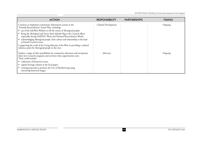*ACTION PLAN 5 Building Community Awareness And Support*

| <b>ACTION</b>                                                                                                                                                                                                                                                                                                                                                                                                                                                                                                                                                                                     | <b>RESPONSIBILITY</b> | <b>PARTNERSHIPS</b> | <b>TIMING</b> |
|---------------------------------------------------------------------------------------------------------------------------------------------------------------------------------------------------------------------------------------------------------------------------------------------------------------------------------------------------------------------------------------------------------------------------------------------------------------------------------------------------------------------------------------------------------------------------------------------------|-----------------------|---------------------|---------------|
| Continue to implement community information actions in the<br>Towards Reconciliation' Action Plan, including:<br>• use of the InfoWest Website to tell the stories of Aboriginal people;<br>flying the Aboriginal and Torres Strait Islander flag at the Council offices<br>(especially during NAIDOC Week and National Reconciliation Week);<br>acknowledging Aboriginal people, their culture and relationship to the land<br>at formal Council events;<br>• supporting the work of the Living Museum of the West in providing a cultural<br>reference point for Aboriginal people in the west. | Cultural Development  |                     | Ongoing       |
| Explore a range of other possibilities for community education and incorporate<br>them into Council's programs and activities when opportunities arise.<br>These could include:<br>• celebration of historical events;<br>regular heritage column in the local paper;<br>creating postcards to promote the City of Maribyrnong using<br>interesting historical images.                                                                                                                                                                                                                            | Advocacy              |                     | Ongoing       |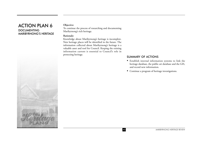#### ACTION PLAN 6 DOCUMENTING MARIBYRNONG'S HERITAGE

#### **Objective:**

To continue the process of researching and documenting Maribyrnong's rich heritage.

#### **Rationale:**

Knowledge about Maribyrnong's heritage is incomplete. New heritage places will be identified in the future. The information collected about Maribyrnong's heritage is a valuable asset and tool for Council. Keeping the existing information current is essential to Council's role in protecting heritage.

- Establish internal information systems to link the heritage database, the public art database and the GIS, and record new information.
- Continue a program of heritage investigations.

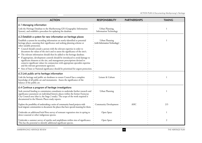| <b>ACTION</b>                                                                                                                                                                                                                                                                                                                                                         | <b>RESPONSIBILITY</b>                            | <b>PARTNERSHIPS</b> | <b>TIMING</b> |
|-----------------------------------------------------------------------------------------------------------------------------------------------------------------------------------------------------------------------------------------------------------------------------------------------------------------------------------------------------------------------|--------------------------------------------------|---------------------|---------------|
| 6.1 Managing information                                                                                                                                                                                                                                                                                                                                              |                                                  |                     |               |
| Link the Heritage Database to the Maribyrnong GIS (Geographic Information<br>System), and establish a procedure for updating the database.                                                                                                                                                                                                                            | Urban Planning,<br><b>Information Technology</b> |                     |               |
| 6.2 Establish a system for new information on heritage places                                                                                                                                                                                                                                                                                                         |                                                  |                     |               |
| Establish a system for recording information on newly-identified or potential<br>heritage places, assessing their significance and seeking planning scheme or<br>other suitable protection.                                                                                                                                                                           | Urban Planning<br>(with Information Technology)  |                     |               |
| • Council should consult a person with the relevant expertise in order to<br>document the values of the site/s and to assess the significance of the site/s.                                                                                                                                                                                                          |                                                  |                     |               |
| • The relevant information should then be added to the heritage database.<br>If appropriate, development controls should be introduced to avoid damage to<br>significant elements at the site, and management prescriptions devised to<br>conserve significant values (in conjunction with appropriate specialist expertise<br>and the relevant government agencies). |                                                  |                     |               |
| Sites of State or National significance should be prioritised for urgent protection.                                                                                                                                                                                                                                                                                  |                                                  |                     |               |
| 6.3 Link public art to heritage information                                                                                                                                                                                                                                                                                                                           |                                                  |                     |               |
| Link the heritage and public art databases to ensure Council has a complete<br>knowledge of all public art and monuments. Assess the significance of the<br>balance of the public art.                                                                                                                                                                                | Leisure & Culture                                |                     |               |
| 6.4 Continue a program of heritage investigations                                                                                                                                                                                                                                                                                                                     |                                                  |                     |               |
| Seek external funding to commission consultants to undertake further research and<br>significance assessment on individual historic places within the former Footscray<br>City Council area (that is, the Stage 2 study). The scope of the work required is<br>documented in the Historic Places study reports.                                                       | Urban Planning                                   |                     |               |
| Explore the possibility of undertaking a series of community based projects with<br>local migrant communities to document the places that have special meaning for them.                                                                                                                                                                                              | <b>Community Development</b>                     | <b>AHC</b>          | 2/3           |
| Undertake an additional brief flora survey of remnant vegetation sites in spring to<br>detect seasonal or other indigenous species.                                                                                                                                                                                                                                   | Open Space                                       |                     |               |
| Undertake a summer survey of reptiles and amphibians within sites of significance.<br>This has the potential to identify additional significant species.                                                                                                                                                                                                              | Open Space                                       |                     | 2             |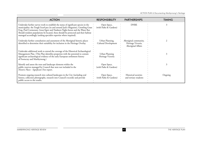| <b>ACTION</b>                                                                                                                                                                                                                                                                                                                                                                                                          | <b>RESPONSIBILITY</b>                   | <b>PARTNERSHIPS</b>                                               | <b>TIMING</b> |
|------------------------------------------------------------------------------------------------------------------------------------------------------------------------------------------------------------------------------------------------------------------------------------------------------------------------------------------------------------------------------------------------------------------------|-----------------------------------------|-------------------------------------------------------------------|---------------|
| Undertake further survey work to establish the status of significant species in the<br>municipality: the Tough Scurf-pea (in and around Jack's Magazine), Growling Grass.<br>Frog, Pied Cormorant, Great Egret and Nankeen Night-heron and the Water Rat.<br>Should resident populations be located, these should be protected and their habitat<br>managed accordingly (seeking specialist expertise where required). | Open Space,<br>(with Parks & Gardens)   | <b>DNRE</b>                                                       |               |
| Undertake further consultation and assessment of the Aboriginal historic places<br>identified to determine their suitability for inclusion in the Heritage Overlay.                                                                                                                                                                                                                                                    | Urban Planning,<br>Cultural Development | Aboriginal community,<br>Heritage Victoria,<br>Aboriginal Affairs |               |
| Undertake additional work to extend the coverage of the Historical Archaeological<br>Management Plan. (This Plan identifies properties with the potential to contain<br>significant archaeological evidence of the early European settlement history<br>of Footscray and Maribyrnong.)                                                                                                                                 | Urban Planning<br>Heritage Victoria     |                                                                   |               |
| Identify and assess the trees and landscape elements within the<br>public reserves managed by Council that were not included in the<br>Historic Places - Significant Trees report.                                                                                                                                                                                                                                     | Open Space,<br>(with Parks & Gardens)   |                                                                   |               |
| Promote ongoing research into cultural landscapes in the City (including oral<br>history, collection photographs, research into Council's records) and provide<br>public access to the results.                                                                                                                                                                                                                        | Open Space,<br>(with Parks & Gardens)   | Historical societies<br>and tertiary students                     | Ongoing       |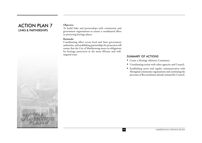# ACTION PLAN 7 LINKS & PARTNERSHIPS

#### **Objective:**

To build links and partnerships with community and government organisations to ensure a coordinated effort in protecting heritage places.

#### **Rationale:**

Coordinating effort across local and State government authorities, and establishing partnerships for protection will ensure that the City of Maribyrnong meets its obligations for heritage protection in the most efficient and welltargeted ways.

- Create a Heritage Advisory Committee.
- Coordinating action with other agencies and Council.
- Establishing active and regular communication with Aboriginal community organisations and continuing the processes of Reconciliation already initiated by Council.



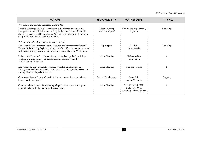*ACTION PLAN 7 Links & Partnerships*

| <b>ACTION</b>                                                                                                                                                                                                                                                                                 | <b>RESPONSIBILITY</b>               | <b>PARTNERSHIPS</b>                                                    | <b>TIMING</b> |
|-----------------------------------------------------------------------------------------------------------------------------------------------------------------------------------------------------------------------------------------------------------------------------------------------|-------------------------------------|------------------------------------------------------------------------|---------------|
| 7.1 Create a Heritage Advisory Committee                                                                                                                                                                                                                                                      |                                     |                                                                        |               |
| Establish a Heritage Advisory Committee to assist with the protection and<br>management of natural and cultural heritage in the municipality. Membership<br>should be based on the Heritage Review Steering Committee, with the addition<br>of representatives of natural heritage interests. | Urban Planning<br>(with Open Space) | Community organisations,<br>agencies                                   | 1, ongoing    |
| 7.2 Liaison with other agencies and councils                                                                                                                                                                                                                                                  |                                     |                                                                        |               |
| Liaise with the Department of Natural Resources and Environment Flora and<br>Fauna staff (Port Phillip Region) to ensure that Council's programs are consistent<br>with existing management work on threatened flora and fauna in Maribyrnong.                                                | Open Space                          | DNRE,<br>other agencies                                                | 2, ongoing    |
| Liaise with Melbourne Port Corporation to transfer heritage database listings<br>of all the identified places of heritage significance that are within the<br>MPC Planning Scheme area.                                                                                                       | Urban Planning                      | Melbourne Port<br>Corporation                                          |               |
| Liaise with Heritage Victoria about the use of the Historical Archaeology<br>Management Plan to ensure consistent advice and outcomes, and to review the<br>findings of archaeological assessments.                                                                                           | Urban Planning                      | Heritage Victoria                                                      |               |
| Continue to liaise with other Councils in the west to coordinate and build on<br>local reconciliation projects.                                                                                                                                                                               | Cultural Development                | Councils in<br>western Melbourne                                       | Ongoing       |
| Compile and distribute an information package for other agencies and groups<br>that undertake works that may affect heritage places.                                                                                                                                                          | Urban Planning                      | Parks Victoria, DNRE,<br>Melbourne Water,<br>Powercorp, Friends groups |               |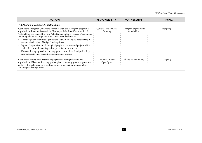*ACTION PLAN 7 Links & Partnerships*

| <b>ACTION</b>                                                                                                                                                                                                                                                                                                                                                                                                                                                                                                                                                                                                                                                                                                                                                                 | <b>RESPONSIBILITY</b>             | <b>PARTNERSHIPS</b>                       | TIMING    |
|-------------------------------------------------------------------------------------------------------------------------------------------------------------------------------------------------------------------------------------------------------------------------------------------------------------------------------------------------------------------------------------------------------------------------------------------------------------------------------------------------------------------------------------------------------------------------------------------------------------------------------------------------------------------------------------------------------------------------------------------------------------------------------|-----------------------------------|-------------------------------------------|-----------|
| 7.3 Aboriginal community partnerships                                                                                                                                                                                                                                                                                                                                                                                                                                                                                                                                                                                                                                                                                                                                         |                                   |                                           |           |
| Continue to strengthen Council's relationships with local Aboriginal people and<br>organisations. Establish links with the Wurundjeri Tribe Land Compensation &<br>Cultural Heritage Council Inc., the Kulin Nations Cultural Heritage Organisation,<br>Bunurong Aboriginal Corporation, and any native title claimants.<br>• Consult regularly with these organisations and with Aboriginal people living in<br>the municipality about Aboriginal heritage issues.<br>Support the participation of Aboriginal people in processes and projects which<br>could affect the understanding and/or protection of their heritage.<br>Consider developing a cultural heritage protocol with these Aboriginal heritage<br>organisations to guide relevant decision making processes. | Cultural Development,<br>Advocacy | Aboriginal organisations<br>& individuals | 1/ongoing |
| Continue to actively encourage the employment of Aboriginal people and<br>organisations. Where possible, engage Aboriginal community groups, organisations<br>and/or individuals to carry out landscaping and interpretation works in relation<br>to Aboriginal heritage places.                                                                                                                                                                                                                                                                                                                                                                                                                                                                                              | Leisure & Culture,<br>Open Space  | Aboriginal community                      | Ongoing   |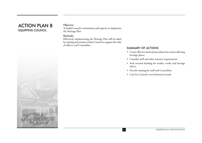# ACTION PLAN 8 EQUIPPING COUNCIL

#### **Objective:**

To build Council's commitment and capacity to implement the Heritage Plan

#### **Rationale:**

Effectively implementing the Heritage Plan will be aided by training and systems within Council to support the roles of officers and Councillors.

- Create effective internal procedures for actions affecting heritage places.
- Consider staff and other resource requirements.
- Seek external funding for studies, works and heritage advice.
- Provide training for staff and Councillors.
- Care for Council's own historical records.

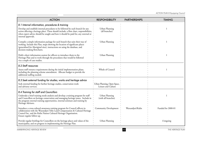| <b>ACTION</b>                                                                                                                                                                                                                                                                            | <b>RESPONSIBILITY</b>                                | <b>PARTNERSHIPS</b> | <b>TIMING</b>      |
|------------------------------------------------------------------------------------------------------------------------------------------------------------------------------------------------------------------------------------------------------------------------------------------|------------------------------------------------------|---------------------|--------------------|
| 8.1 Internal information, procedures & training                                                                                                                                                                                                                                          |                                                      |                     |                    |
| Develop and establish internal procedures to be followed by each branch for any<br>action affecting a heritage place. These should include: a flow chart, responsibilities,<br>when expert advice should be sought and how it should be paid for, any external or<br>internal approvals. | Urban Planning<br>(all branches)                     |                     |                    |
| Compile a simple information package for each branch that suits their way of<br>working. Include this Plan, maps showing the location of significant places<br>(generalised for Aboriginal sites), instructions on using the database, and<br>decision-making flowcharts.                | Urban Planning                                       |                     | 1                  |
| Hold a short information session for officers to introduce them to the<br>Heritage Plan and to work through the procedures that would be followed<br>via a couple of case studies.                                                                                                       | Urban Planning                                       |                     |                    |
| 8.2 Staff resources                                                                                                                                                                                                                                                                      |                                                      |                     |                    |
| Assess staff resource requirements during the initial implementation phase,<br>including the planning scheme amendment. Allocate budget to provide the<br>additional staffing needed.                                                                                                    | Whole of Council                                     |                     |                    |
| 8.3 Seek external funding for studies, works and heritage advice                                                                                                                                                                                                                         |                                                      |                     |                    |
| Seek external funding for further heritage studies, conservation work<br>and advisory services.                                                                                                                                                                                          | « Urban Planning, Open Space,<br>Leisure and Culture |                     |                    |
| 8.4 Training for staff and Councillors                                                                                                                                                                                                                                                   |                                                      |                     |                    |
| Undertake a brief training needs analysis and develop a training program for staff<br>and Councillors on heritage conservation and managing heritage issues. Include in<br>the program external training opportunities, internal seminars and training by<br>Heritage Advisors.          | Urban Planning<br>(with all branches)                |                     |                    |
| Introduce a cross-cultural awareness training program for Council officers in<br>collaboration with the Wurundjeri Tribe Land Compensation & Cultural Heritage<br>Council Inc. and the Kulin Nation Cultural Heritage Organisation.<br>Ensure regular follow-up.                         | <b>Community Development</b>                         | Wurundjeri/Kulin    | Funded for 2000-01 |
| Provide regular briefings for Councillors on the heritage places and values of the<br>municipality, and on progress in implementing the Heritage Plan.                                                                                                                                   | Urban Planning                                       |                     | 1/ongoing          |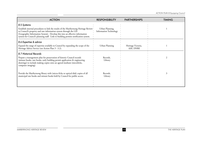| <b>ACTION</b>                                                                                                                                                                                                                                                                                                                                   | <b>RESPONSIBILITY</b>                            | <b>PARTNERSHIPS</b>             | <b>TIMING</b> |
|-------------------------------------------------------------------------------------------------------------------------------------------------------------------------------------------------------------------------------------------------------------------------------------------------------------------------------------------------|--------------------------------------------------|---------------------------------|---------------|
| 8.5 Systems<br>Establish internal procedures to link the results of the Maribyrnong Heritage Review •<br>to Council's property and rate information system through the GIS<br>(Geographic Information System). Develop this into an effective information<br>system for Council's planning staff. Link to building permits notification system. | Urban Planning,<br><b>Information Technology</b> |                                 |               |
| 8.6 Expertise & advice<br>Expand the range of expertise available to Council by expanding the scope of the<br>Heritage Advice Service (see Action Plan 3 - 3.2).                                                                                                                                                                                | Urban Planning                                   | Heritage Victoria,<br>AAV, DNRE |               |
| 8.7 Historical Records<br>Prepare a management plan for preservation of historic Council records<br>(minute books, rate books, early building permit application & engineering<br>drawings) to include making copies onto an agreed medium (microfiche,<br>computer imaging).                                                                   | Records,<br>Library                              |                                 |               |
| Provide the Maribyrnong library with (micro-fiche or optical disk) copies of all<br>municipal rate books and minute books held by Council for public access.                                                                                                                                                                                    | Records,<br>Library                              |                                 |               |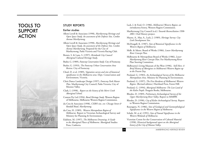# TOOLS TO SUPPORT ACTION



#### STUDY REPORTS

#### Earlier studies

- Allom Lovell & Associates (1998), *Maribyrnong Heritage and Open Space Study. An assessment of the Defence Site, Cordite Avenue Maribyrnong*.
- Allom Lovell & Associates (1998), *Maribyrnong Heritage and Open Space Study. An assessment of the Defence Site, Cordite Avenue Maribyrnong*. Prepared for the City of Maribyrnong, Parks Victoria and Victoria Racing Club.
- Brown, S. & Lane, S. (1997), *Brimbank City Council Aboriginal Cultural Heritage Study*.

Butler, G. (1989), *Footscray Conservation Study*. City of Footscray.

- Butler, G. (1993), *The Footscray Urban Conservation Area Review*. City of Footscray.
- Cheal, D. et al. (1989), *Vegetation survey and sites of botanical significance in the Melbourne area*. Dept. Conservation and Environment, Victoria.
- Chris Dance Landscape Design (1997), *Footscray Park Master Plan*. Maribyrnong City Council, Parks Victoria, City of Moonee Valley.
- Clark, I. (1998), *Report on the history of the Merri Creek Aboriginal School*.
- Context Pty Ltd (1994), *Rural Heritage Study*. Western Region of Melbourne, Melbourne Western Region Commission.
- du Cros & Associates (1998), *CSIRO site, cnr. Chicago Street & Randall Road, Maribyrnong*.
- du Cros, H. (1989), *Western Metropolitan Region of Melbourne.*  Report to Victorian Archaeological Survey and Ministry for Planning & Environment.
- Eidelson, M. (1997), *The Melbourne Dreaming: A Guide to the Aboriginal Places of Melbourne*. Aboriginal Studies Press, Canberra.
- Lack, J. & Ford, O. (1986), *Melbourne's Western Region: an introductory history*, Western Region Commission.
- Maribyrnong City Council (n.d.) *Towards Reconciliation 1998- <sup>2001</sup>*. Oral History project.
- Mayne, A., May, A., Lack, J. (1989), *Heritage Survey: City Link Development Site*.
- Mc Dougall, K. (1987), *Sites of Botanical Significance in the Western Region of Melbourne*.
- Melb. & Metro. Board of Works (1986), *Lower Maribyrnong River Concept Plan*.
- Melbourne & Metropolitan Board of Works (1986), *Lower Maribyrnong River Concept Plan*. For Maribyrnong River Plan Steering Committee.
- Melbourne's Living Museum of the West (1996), *Still Here: A Brief History of Aborigines in Melbourne's Western Region up to the Present Day*.
- Presland, G. (1983), *An Archaeological Survey of the Melbourne Metropolitan Area*. Ministry for Planning & Environment.
- Presland, G. (1997), *The First Residents of Melbourne's Western Region*. (Revised edition.) Harriland Press, Forest Hill.
- Presland, G. (1994), *Aboriginal Melbourne: The Lost Land of the Kulin People*. Penguin Books, Melbourne.
- Rhodes, D. (1989), *Preliminary Archaeological Survey of the Upper Maribyrnong River Valley*. Report to MMBW.
- Rhodes, D. (1990), *City of Keilor Archeaological Survey*. Report to Western Region Commission.
- Rosengren, N. (1986), *Sites of Geological and Geomorphological Significance in the Western Region of Melbourne*.
- Schulz, M. et al. (1991), *Sites of Faunal Significance in the Western Wetlands of Melbourne*.
- Victorian Centre for the Conservation of Cultural Material (1998), *Historical background report on the Aboriginal history of the City of Moonee Valley*.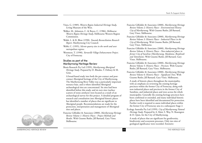- Vines, G. (1989), *Western Region Industrial Heritage Study*, Living Museum of the West.
- Walker, M., Johnston, C. & Boyce, C. (1986), *Melbourne Western Region Heritage Study*, Melbourne Western Region Commission.
- Walsh, L. & R. Blow (1998), *Towards Reconciliation Research Report*. Maribyrnong City Council.
- Webb, C. (1995), *Silcrete quarry sites in the north and west metropolitan regions*.
- Westmore, T. (1990), *Yarraville Village Enhancement Project*. City of Footscray.

#### Studies as part of the Maribyrnong Heritage Review

Biosis Research Pty Ltd (1999), *Maribyrnong Aboriginal Heritage Study*. Prepared by D. Rhodes, T. Debney & M. Grist.

A broad-based study into both the pre-contact and postcontact Aboriginal heritage of the City of Maribyrnong. The Maribyrnong River Valley was a particularly important resource base, and is where identified Aboriginal archaeological sites are concentrated. Six sites had been identified before this study, and six new sites (surface scatters of stone artefacts) were located as a result of an archaeological survey for this project. A detailed program of research and consultation into Aboriginal historic places has identified a number of places that are significant to Aboriginal people. Recommendations are made for the protection, interpretation and management of Aboriginal sites and places.

Francine Gilfedder & Associates (2000), *Maribyrnong Heritage Review Volume 1: Historic Places - Project Methods and Results*. With Graeme Butler, Jill Barnard, Gary Vines. Melbourne.

- Francine Gilfedder & Associates (2000), *Maribyrnong Heritage Review Volume 2: Historic Places - Environmental History City of Maribyrnong*. With Graeme Butler, Jill Barnard, Gary Vines. Melbourne.
- Francine Gilfedder & Associates (2000), *Maribyrnong Heritage Review Volume 3: Historic Places - Industrial Places in the City of Maribyrnong*. With Graeme Butler, Jill Barnard, Gary Vines. Melbourne.
- Francine Gilfedder & Associates (2000), *Maribyrnong Heritage Review Volume 4: Historic Places - Non-industrial places in former City of Sunshine (Maribyrnong, Maidstone, Braybrook and Tottenham)*. With Graeme Butler, Jill Barnard, Gary Vines. Melbourne.
- Francine Gilfedder & Associates (2000), *Maribyrnong Heritage Review Volume 5: Historic Places - Precincts*. With Graeme Butler, Jill Barnard, Gary Vines. Melbourne.
- Francine Gilfedder & Associates (2000), *Maribyrnong Heritage Review Volume 6: Historic Places - Significant Trees*. With Graeme Butler, Jill Barnard, Gary Vines. Melbourne.

A study of historic places throughout the municipality, with an emphasis on reviewing the existing heritage precincts within the former City of Footscray, along with non-industrial places and precincts in the former City of Sunshine, and industrial places and trees across the whole municipality. Generally the existing heritage precincts have been confirmed or extended, and many individual historic places have been identified and documented for protection. Further work is required to assess individual places within the former City of Footscray area in a subsequent Stage 2.

Ecology Australia Pty Ltd (1999), *City of Maribyrnong Natural Heritage Study*. Prepared by A. Muir, S. Way, N. Rosengren & D. Quin, for the City of Maribyrnong.

A study of places that are significant for geodiversity, biodiversity and ecosystem processes. Only two sites of geological significance were recorded. Extensive

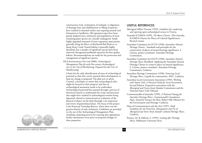construction work, reclamation of wetlands, re-alignment of drainage lines and rehabilitation or filling of quarries have resulted in minimal surface area exposing natural rock formations or landforms. All vegetation types have been grossly depleted since settlement and populations of most remaining plant species are critically endangered. Small, highly degraded remnants of most vegetation types persist, generally along the River, at Braybrook Rail Reserve, or along Stony Creek. Faunal habitat is generally highly disturbed, but a number of significant species have been observed. Revegetated parklands represent the best quality habitat. Recommendations are made for the protection and management of significant species.

HLA-Envirosciences Pty Ltd (2000), *Archaeological Management Plan for early Post-contact Archaeological sites in the City of Maribyrnong*. Prepared for the City of Maribyrnong.

A basis for the early identification of areas of archaeological potential so that they can be assessed when development or land use change is proposed. The plan acts to advise Council, a developer or owner that archaeological relics might be located on their property and that an archaeological assessment needs to be undertaken. Archaeological potential has assessed through a process of historical research to understand the events and processes that might have resulted in archaeological remains being deposited, altered or removed and an evaluation of the <sup>p</sup>hysical evidence on the land (through a site inspection and review of geotechnical data). The focus of this project is the Footscray Township Reserve, where there was the greatest density of early settlement. Guidelines are provided on the use of the Archaeological Management Plan, including a planning process for ensuring that appropriate further assessments occur prior to proposed changes to these properties.

#### USEFUL REFERENCES

- Aboriginal Affairs Victoria (1993), *Guidelines for conducting and reporting upon archaeological surveys in Victoria*.
- Australia ICOMOS (1999), *The Burra Charter*. (The Australia ICOMOS Charter for Places of Cultural Significance). Revised version.
- Australian Committee for IUCN (1996), A*ustralian Natural Heritage Charter*. Standards and principles for the conservation of places of natural heritage significance. L. Cairnes, project consultant. Australian Heritage Commission.
- Australian Committee for IUCN (1998), *Australian Natural Heritage Places Handbook*. Applying the Australian Natural Heritage Charter to conserve places of natural significance. L. Cairnes, project consultant. Australian Heritage Commission, Canberra.
- Australian Heritage Commission (1998), *Protecting Local Heritage Places*. A guide for communities. AHC, Canberra.
- Australian Local Government Association (1999), *Working with Native Title: A Practical Guide for Local Government*. Second Edition. Prepared in association with the Aboriginal and Torres Strait Islander Commission and the National Native Title Tribunal.
- Commonwealth of Australia (1999), *A National Strategy for Australia's Heritage Places. Commonwealth Consultation Paper*. Issued by Senator the Hon. Robert Hill, Minister for the Environment and Heritage. Canberra.
- Dept of Communication and the Arts (1997), *Draft Guidelines for the Protection, Management and Use of Aboriginal and Torres Strait Islander Cultural Heritage Places*. Canberra.
- Pearson, M. & Sullivan, S. (1995), *Looking after Heritage Places*. Melbourne University Press.



*MARIBYRNONG HERITAGE REVIEW* 56 *THE HERITAGE PLAN*